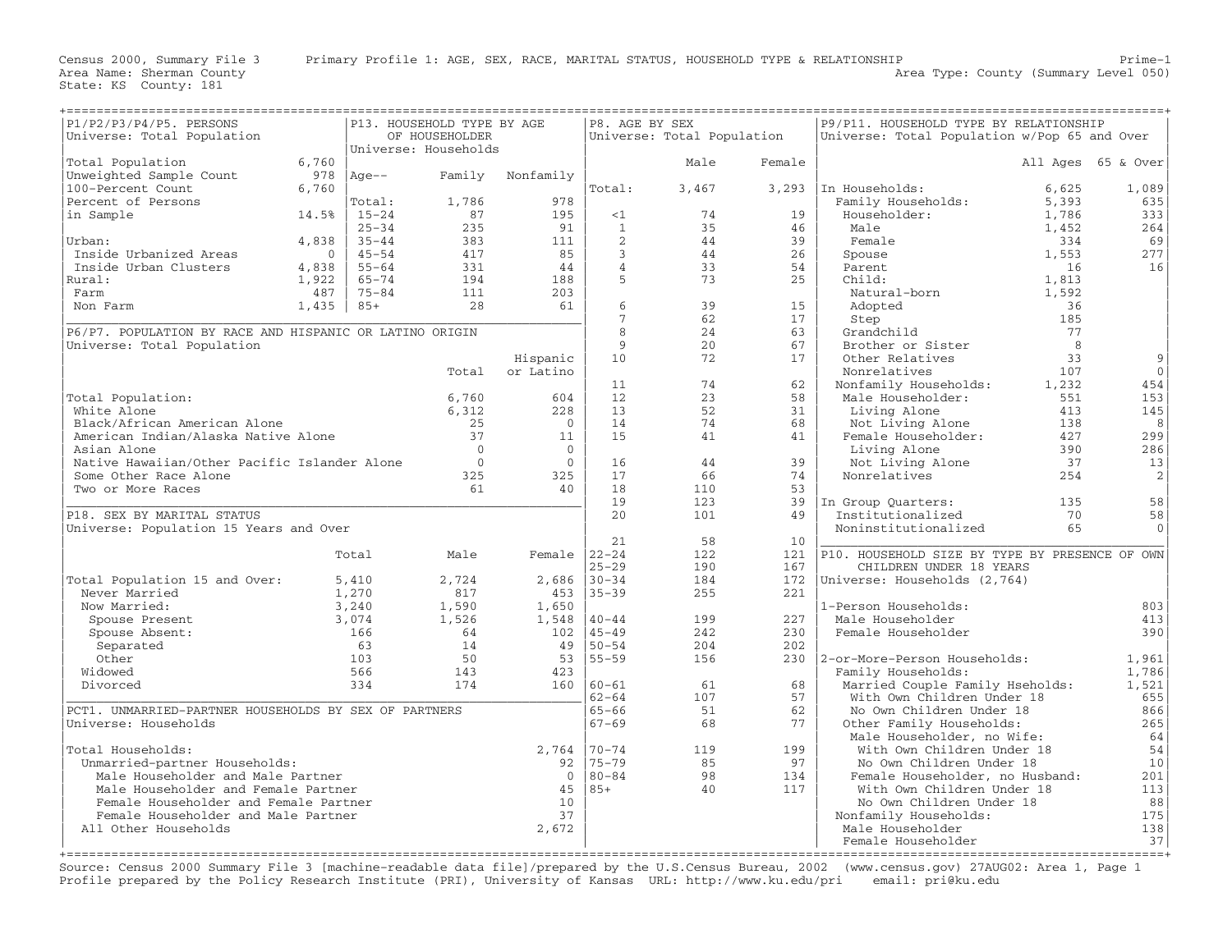Area Name: Sherman County<br>State: KS County: 181

| P1/P2/P3/P4/P5. PERSONS<br>P13. HOUSEHOLD TYPE BY AGE   |                               |           |                      |                       |                 | P8. AGE BY SEX             |          | P9/P11. HOUSEHOLD TYPE BY RELATIONSHIP                 |           |                    |  |
|---------------------------------------------------------|-------------------------------|-----------|----------------------|-----------------------|-----------------|----------------------------|----------|--------------------------------------------------------|-----------|--------------------|--|
| Universe: Total Population                              |                               |           | OF HOUSEHOLDER       |                       |                 | Universe: Total Population |          | Universe: Total Population w/Pop 65 and Over           |           |                    |  |
|                                                         |                               |           | Universe: Households |                       |                 |                            |          |                                                        |           |                    |  |
| Total Population                                        | 6,760                         |           |                      |                       |                 | Male                       | Female   |                                                        |           | All Ages 65 & Over |  |
| Unweighted Sample Count                                 | 978                           | $Age--$   | Family               | Nonfamily             |                 |                            |          |                                                        |           |                    |  |
| 100-Percent Count                                       | 6,760                         |           |                      |                       | Total:          | 3,467                      |          | 3,293 In Households:                                   | 6,625     | 1,089              |  |
| Percent of Persons                                      |                               | Total:    | 1,786                | 978                   |                 |                            |          | Family Households:                                     | 5,393     | 635                |  |
| in Sample                                               | 14.5%                         | $15 - 24$ | 87                   | 195                   | <1              | 74                         | 19       | Householder:                                           | 1,786     | 333                |  |
|                                                         |                               | $25 - 34$ | 235                  | 91                    | $\mathbf{1}$    | 35                         | 46       | Male                                                   | 1,452     | 264                |  |
| Urban:                                                  | 4,838                         | $35 - 44$ | 383                  | 111                   | 2               | 44                         | 39       | Female                                                 | 334       | 69                 |  |
| Inside Urbanized Areas                                  | $\Omega$                      | $45 - 54$ | 417                  | 85                    | $\overline{3}$  | 44                         | 26       | Spouse                                                 | 1,553     | 277                |  |
| Inside Urban Clusters                                   | 4,838                         | $55 - 64$ | 331                  | 44                    | $\overline{4}$  | 33                         | 54       | Parent                                                 | 16        | 16                 |  |
| Rural:                                                  | 1,922                         | $65 - 74$ | 194                  | 188                   | 5               | 73                         | 25       | Child:                                                 | 1,813     |                    |  |
| Farm                                                    | 487                           | $75 - 84$ | 111                  | 203                   |                 |                            |          | Natural-born                                           | 1,592     |                    |  |
| Non Farm                                                | 1,435                         | $85+$     | 28                   | 61                    | 6               | 39                         | 15       | Adopted                                                | 36        |                    |  |
|                                                         |                               |           |                      |                       | $7\phantom{.}$  | 62                         | 17       | Step                                                   | 185       |                    |  |
| P6/P7. POPULATION BY RACE AND HISPANIC OR LATINO ORIGIN |                               |           |                      |                       | 8<br>9          | 24<br>20                   | 63<br>67 | Grandchild                                             | 77<br>- 8 |                    |  |
| Universe: Total Population                              |                               |           |                      |                       | 10              | 72                         | 17       | Brother or Sister<br>Other Relatives                   | 33        | 9                  |  |
|                                                         |                               |           |                      | Hispanic<br>or Latino |                 |                            |          | Nonrelatives                                           | 107       | $\Omega$           |  |
|                                                         |                               |           | Total                |                       | 11              | 74                         | 62       | Nonfamily Households:                                  | 1,232     | 454                |  |
| Total Population:                                       |                               |           | 6,760                | 604                   | 12              | 23                         | 58       | Male Householder:                                      | 551       | 153                |  |
| White Alone                                             |                               |           | 6,312                | 228                   | 13              | 52                         | 31       | Living Alone                                           | 413       | 145                |  |
| Black/African American Alone                            |                               |           | 25                   | $\Omega$              | 14              | 74                         | 68       | Not Living Alone                                       | 138       | 8                  |  |
| American Indian/Alaska Native Alone                     |                               |           | 37                   | 11                    | 15              | 41                         | 41       | Female Householder:                                    | 427       | 299                |  |
| Asian Alone                                             |                               |           | $\Omega$             | $\mathbf{0}$          |                 |                            |          | Living Alone                                           | 390       | 286                |  |
| Native Hawaiian/Other Pacific Islander Alone            |                               |           | $\circ$              | $\overline{0}$        | 16              | 44                         | 39       | Not Living Alone                                       | 37        | 13                 |  |
| Some Other Race Alone                                   |                               |           | 325                  | 325                   | 17              | 66                         | 74       | Nonrelatives                                           | 254       | 2                  |  |
| Two or More Races                                       |                               |           | 61                   | 40                    | 18              | 110                        | 53       |                                                        |           |                    |  |
|                                                         |                               |           |                      |                       | 19              | 123                        | 39       | In Group Ouarters:                                     | 135       | 58                 |  |
| P18. SEX BY MARITAL STATUS                              |                               |           |                      |                       | 20              | 101                        | 49       | Institutionalized                                      | 70        | 58                 |  |
| Universe: Population 15 Years and Over                  |                               |           |                      |                       |                 |                            |          | Noninstitutionalized                                   | 65        | $\Omega$           |  |
|                                                         |                               |           |                      |                       | 21              | 58                         | 10       |                                                        |           |                    |  |
|                                                         |                               | Total     | Male                 | Female $ 22-24 $      |                 | 122                        | 121      | P10. HOUSEHOLD SIZE BY TYPE BY PRESENCE OF OWN         |           |                    |  |
|                                                         |                               |           |                      |                       | $25 - 29$       | 190                        | 167      | CHILDREN UNDER 18 YEARS                                |           |                    |  |
| Total Population 15 and Over:                           |                               | 5,410     | 2,724                | 2,686                 | $30 - 34$       | 184                        | 172      | Universe: Households (2,764)                           |           |                    |  |
| Never Married                                           |                               | 1,270     | 817                  | 453                   | $35 - 39$       | 255                        | 221      |                                                        |           |                    |  |
| Now Married:                                            |                               | 3,240     | 1,590                | 1,650                 |                 |                            |          | 1-Person Households:                                   |           | 803                |  |
| Spouse Present                                          |                               | 3,074     | 1,526                | 1,548                 | $40 - 44$       | 199                        | 227      | Male Householder                                       |           | 413                |  |
| Spouse Absent:                                          |                               | 166       | 64                   | 102                   | $45 - 49$       | 242                        | 230      | Female Householder                                     |           | 390                |  |
| Separated                                               |                               | 63        | 14                   | 49                    | $50 - 54$       | 204                        | 202      |                                                        |           |                    |  |
| Other                                                   |                               | 103       | 50                   | 53                    | $155 - 59$      | 156                        | 230      | 2-or-More-Person Households:                           |           | 1,961              |  |
| Widowed                                                 |                               | 566       | 143                  | 423                   |                 |                            |          | Family Households:                                     |           | 1,786              |  |
| Divorced                                                |                               | 334       | 174                  |                       | $160   60 - 61$ | 61                         | 68       | Married Couple Family Hseholds:                        |           | 1,521              |  |
|                                                         |                               |           |                      |                       | $62 - 64$       | 107                        | 57       | With Own Children Under 18                             |           | 655                |  |
| PCT1. UNMARRIED-PARTNER HOUSEHOLDS BY SEX OF PARTNERS   |                               |           |                      |                       | $65 - 66$       | 51                         | 62       | No Own Children Under 18                               |           | 866                |  |
| Universe: Households                                    |                               |           |                      |                       | $67 - 69$       | 68                         | 77       | Other Family Households:<br>Male Householder, no Wife: |           | 265                |  |
| Total Households:                                       |                               |           |                      | 2,764                 | $70 - 74$       | 119                        | 199      | With Own Children Under 18                             |           | 64<br>54           |  |
|                                                         | Unmarried-partner Households: |           |                      |                       | $175 - 79$      | 85                         | 97       | No Own Children Under 18                               |           | 10                 |  |
| Male Householder and Male Partner                       |                               |           |                      | 92<br>$\overline{0}$  | $80 - 84$       | 98                         | 134      | Female Householder, no Husband:                        |           | 201                |  |
| Male Householder and Female Partner                     |                               |           |                      | 45                    | $85+$           | 40                         | 117      | With Own Children Under 18                             |           | 113                |  |
| Female Householder and Female Partner                   |                               |           |                      | 10                    |                 |                            |          | No Own Children Under 18                               |           | 88                 |  |
| Female Householder and Male Partner                     |                               |           |                      | 37                    |                 |                            |          | Nonfamily Households:                                  |           | 175                |  |
| All Other Households                                    |                               |           |                      | 2,672                 |                 |                            |          | Male Householder                                       |           | 138                |  |
|                                                         |                               |           |                      |                       |                 |                            |          | Female Householder                                     |           | 37                 |  |
|                                                         |                               |           |                      |                       |                 |                            |          |                                                        |           |                    |  |

Source: Census 2000 Summary File 3 [machine−readable data file]/prepared by the U.S.Census Bureau, 2002 (www.census.gov) 27AUG02: Area 1, Page 1 Profile prepared by the Policy Research Institute (PRI), University of Kansas URL: http://www.ku.edu/pri email: pri@ku.edu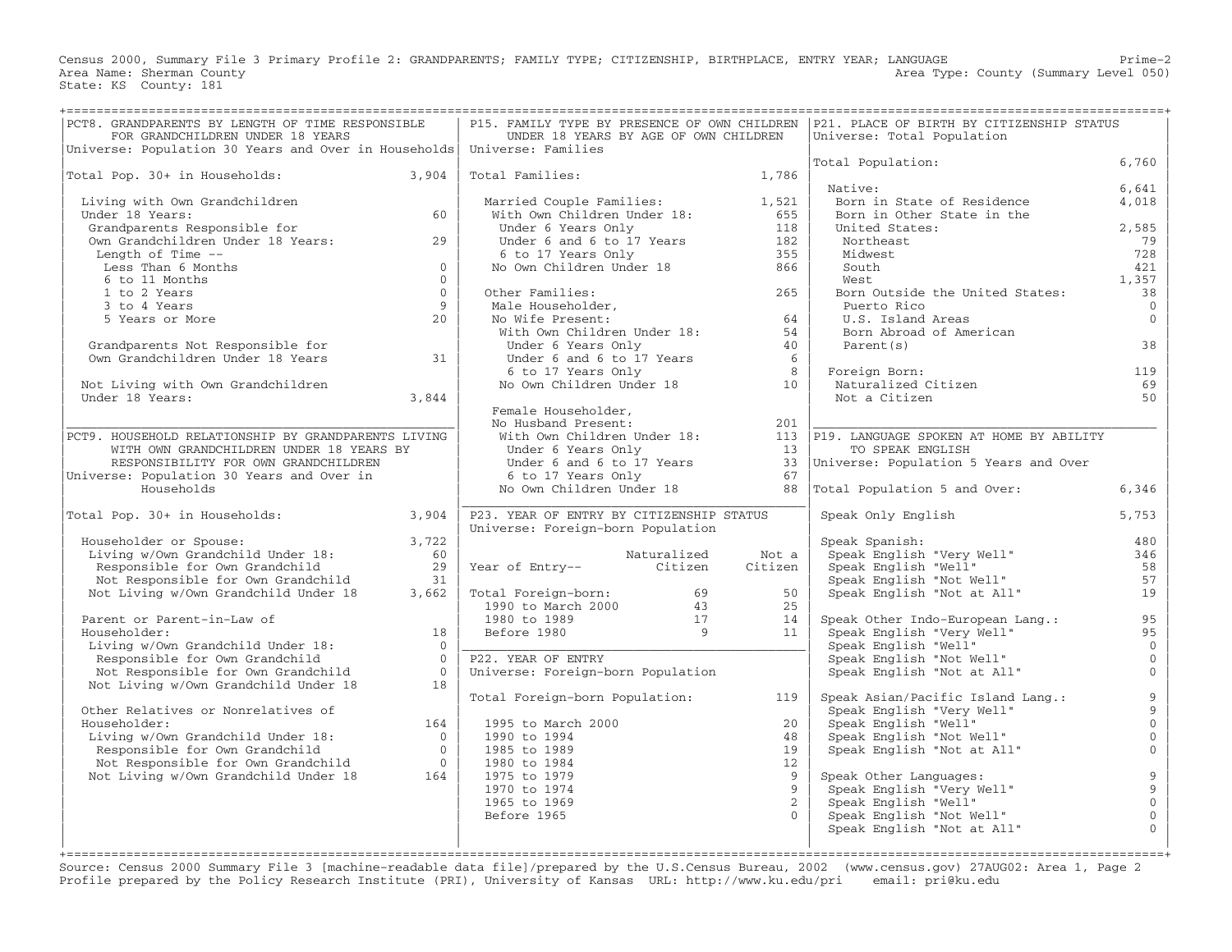Census 2000, Summary File 3 Primary Profile 2: GRANDPARENTS; FAMILY TYPE; CITIZENSHIP, BIRTHPLACE, ENTRY YEAR; LANGUAGE Prime−2 Area Type: County (Summary Level 050) Area Name: Sherman County<br>State: KS County: 181

| PCT8. GRANDPARENTS BY LENGTH OF TIME RESPONSIBLE<br>FOR GRANDCHILDREN UNDER 18 YEARS<br>Universe: Population 30 Years and Over in Households Universe: Families                     |                      | UNDER 18 YEARS BY AGE OF OWN CHILDREN                                                                                                                  |             |                | P15. FAMILY TYPE BY PRESENCE OF OWN CHILDREN   P21. PLACE OF BIRTH BY CITIZENSHIP STATUS<br>Universe: Total Population |                                       |
|-------------------------------------------------------------------------------------------------------------------------------------------------------------------------------------|----------------------|--------------------------------------------------------------------------------------------------------------------------------------------------------|-------------|----------------|------------------------------------------------------------------------------------------------------------------------|---------------------------------------|
|                                                                                                                                                                                     |                      |                                                                                                                                                        |             |                | Total Population:                                                                                                      | 6,760                                 |
| Total Pop. 30+ in Households: 3,904                                                                                                                                                 |                      | Total Families: 1,786                                                                                                                                  |             |                | Native:                                                                                                                | 6,641                                 |
| Living with Own Grandchildren                                                                                                                                                       |                      | Married Couple Families: 1,521<br>With Own Children Under 18: 655<br>Under 6 Years Only 118<br>Under 6 and 6 to 17 Years 182<br>6 to 17 Years Only 162 |             |                | Born in State of Residence                                                                                             | 4,018                                 |
| Under 18 Years:                                                                                                                                                                     | 60                   |                                                                                                                                                        |             |                | Born in Other State in the                                                                                             |                                       |
| Grandparents Responsible for                                                                                                                                                        |                      |                                                                                                                                                        |             |                | United States:                                                                                                         | 2,585                                 |
| Own Grandchildren Under 18 Years: 29                                                                                                                                                |                      |                                                                                                                                                        |             |                | Northeast                                                                                                              | 79                                    |
| Length of Time --                                                                                                                                                                   |                      |                                                                                                                                                        |             |                | Midwest                                                                                                                | 728                                   |
| Less Than 6 Months                                                                                                                                                                  | $\overline{0}$       | No Own Children Under 18                                                                                                                               |             | 866            | South                                                                                                                  | 421                                   |
| 6 to 11 Months                                                                                                                                                                      | $\Omega$             |                                                                                                                                                        |             |                | West                                                                                                                   | 1,357                                 |
| 1 to 2 Years                                                                                                                                                                        | $\bigcirc$           | Other Families: 265<br>Male Householder, 265<br>No Wife Present: 64<br>With Own Children_Under 18: 54<br>54                                            |             |                | Born Outside the United States:                                                                                        | 38                                    |
| 3 to 4 Years<br>5 Years or More                                                                                                                                                     | $\overline{9}$<br>20 |                                                                                                                                                        |             |                | Puerto Rico                                                                                                            | $\overline{0}$<br>$\Omega$            |
|                                                                                                                                                                                     |                      |                                                                                                                                                        |             |                | U.S. Island Areas                                                                                                      |                                       |
|                                                                                                                                                                                     |                      | Under 6 Years Only                                                                                                                                     |             | 40             | Born Abroad of American<br>Parent (s)                                                                                  | 38                                    |
| Grandparents Not Responsible for<br>Own Grandchildren Under 18 Years 31                                                                                                             |                      |                                                                                                                                                        |             |                |                                                                                                                        |                                       |
|                                                                                                                                                                                     |                      |                                                                                                                                                        |             |                | Foreign Born:                                                                                                          | 119                                   |
| Not Living with Own Grandchildren                                                                                                                                                   |                      | Under 6 and 6 to 17 Years<br>6 to 17 Years 6 6<br>No Own Children Under 18 10                                                                          |             |                | Foreign Born:<br>Naturalized Citizen                                                                                   | 69                                    |
| Under 18 Years:                                                                                                                                                                     | 3,844                |                                                                                                                                                        |             |                | Not a Citizen                                                                                                          | 50                                    |
|                                                                                                                                                                                     |                      | Female Householder,                                                                                                                                    |             |                |                                                                                                                        |                                       |
|                                                                                                                                                                                     |                      | No Husband Present:                                                                                                                                    |             |                |                                                                                                                        |                                       |
| PCT9. HOUSEHOLD RELATIONSHIP BY GRANDPARENTS LIVING                                                                                                                                 |                      |                                                                                                                                                        |             |                |                                                                                                                        |                                       |
| WITH OWN GRANDCHILDREN UNDER 18 YEARS BY                                                                                                                                            |                      |                                                                                                                                                        |             |                |                                                                                                                        |                                       |
| RESPONSIBILITY FOR OWN GRANDCHILDREN                                                                                                                                                |                      |                                                                                                                                                        |             |                |                                                                                                                        |                                       |
| Universe: Population 30 Years and Over in                                                                                                                                           |                      | 6 to 17 Years Only                                                                                                                                     |             | 67             |                                                                                                                        |                                       |
| Households                                                                                                                                                                          |                      | No Own Children Under 18                                                                                                                               |             | 88             | Total Population 5 and Over:                                                                                           | 6,346                                 |
|                                                                                                                                                                                     |                      |                                                                                                                                                        |             |                |                                                                                                                        |                                       |
| Total Pop. 30+ in Households: 3,904                                                                                                                                                 |                      | P23. YEAR OF ENTRY BY CITIZENSHIP STATUS                                                                                                               |             |                | Speak Only English                                                                                                     | 5,753                                 |
|                                                                                                                                                                                     |                      | Universe: Foreign-born Population                                                                                                                      |             |                |                                                                                                                        |                                       |
| Householder or Spouse:<br>Living w/Own Grandchild Under 18:<br>Householder or Spouse:                                                                                               | 3,722<br>60          |                                                                                                                                                        | Naturalized | Not a          | Speak Spanish:                                                                                                         | 480<br>346                            |
| Responsible for Own Grandchild                                                                                                                                                      | 29                   | waturalized<br>Year of Entry-- Citizen                                                                                                                 |             | Citizen        | Speak English "Very Well"<br>Speak English "Very Well"<br>Speak Erglish "Well"                                         | 58                                    |
| Not Responsible for Own Grandchild                                                                                                                                                  | 31                   |                                                                                                                                                        |             |                | Speak English "Not Well"                                                                                               | 57                                    |
| Not Living w/Own Grandchild Under 18                                                                                                                                                | 3,662                |                                                                                                                                                        |             | 50             | Speak English "Not at All"                                                                                             | 19                                    |
|                                                                                                                                                                                     |                      | Total Foreign-born: 69<br>1990 to March 2000 43<br>1980 to 1989 17<br>Before 1980 9                                                                    |             | 25             |                                                                                                                        |                                       |
| Parent or Parent-in-Law of                                                                                                                                                          |                      |                                                                                                                                                        |             | 14             | Speak Other Indo-European Lang.:                                                                                       | 95                                    |
| Householder:                                                                                                                                                                        | 18                   |                                                                                                                                                        |             | 11             | Speak English "Very Well"                                                                                              | 95                                    |
| Living w/Own Grandchild Under 18:                                                                                                                                                   | $\overline{0}$       |                                                                                                                                                        |             |                | Speak English "Well"                                                                                                   | $\overline{0}$                        |
| Responsible for Own Grandchild                                                                                                                                                      | $\bigcap$            | P22. YEAR OF ENTRY                                                                                                                                     |             |                | Speak English "Not Well"<br>Speak English "Not Well"<br>Speak English "Not at All"                                     | $\overline{0}$                        |
| Not Responsible for Own Grandchild                                                                                                                                                  | $\overline{0}$       | Universe: Foreign-born Population                                                                                                                      |             |                |                                                                                                                        | $\overline{0}$                        |
| Not Living w/Own Grandchild Under 18                                                                                                                                                | 18                   |                                                                                                                                                        |             |                |                                                                                                                        |                                       |
|                                                                                                                                                                                     |                      | Total Foreign-born Population:                                                                                                                         |             | 119            | Speak Asian/Pacific Island Lang.:                                                                                      | $\begin{array}{c} 9 \\ 9 \end{array}$ |
| Other Relatives or Nonrelatives of                                                                                                                                                  |                      |                                                                                                                                                        |             |                | Speak English "Very Well"<br>Speak English "Well"<br>Speak English "Not Well"                                          |                                       |
|                                                                                                                                                                                     |                      | 1995 to March 2000                                                                                                                                     |             | 20             |                                                                                                                        | $\mathsf{O}\xspace$                   |
|                                                                                                                                                                                     |                      | 1990 to 1994                                                                                                                                           |             | 48             |                                                                                                                        | $\mathbf 0$                           |
| Householder:<br>Living w/Own Grandchild Under 18:<br>Responsible for Own Grandchild 0<br>Not Responsible for Own Grandchild 0<br>Not Responsible for Own Grandchild Under 18<br>164 |                      | 1985 to 1989                                                                                                                                           |             | 19             | Speak English "Not at All"                                                                                             | $\mathbb O$                           |
|                                                                                                                                                                                     |                      | 1980 to 1984                                                                                                                                           |             | 12             |                                                                                                                        |                                       |
|                                                                                                                                                                                     |                      | 1975 to 1979                                                                                                                                           |             | -9             | Speak Other Languages:                                                                                                 | $\overline{9}$<br>$\mathsf 9$         |
|                                                                                                                                                                                     |                      | 1970 to 1974<br>1965 to 1969                                                                                                                           |             | $\overline{2}$ | Speak English "Very Well"<br>Speak English "Well"                                                                      | $\overline{0}$                        |
|                                                                                                                                                                                     |                      | Before 1965                                                                                                                                            |             |                | Speak English "Not Well"                                                                                               | $\mathbf 0$                           |
|                                                                                                                                                                                     |                      |                                                                                                                                                        |             |                | Speak English "Not at All"                                                                                             | $\mathbf{0}$                          |
|                                                                                                                                                                                     |                      |                                                                                                                                                        |             |                |                                                                                                                        |                                       |
|                                                                                                                                                                                     |                      |                                                                                                                                                        |             |                |                                                                                                                        |                                       |

Source: Census 2000 Summary File 3 [machine−readable data file]/prepared by the U.S.Census Bureau, 2002 (www.census.gov) 27AUG02: Area 1, Page 2 Profile prepared by the Policy Research Institute (PRI), University of Kansas URL: http://www.ku.edu/pri email: pri@ku.edu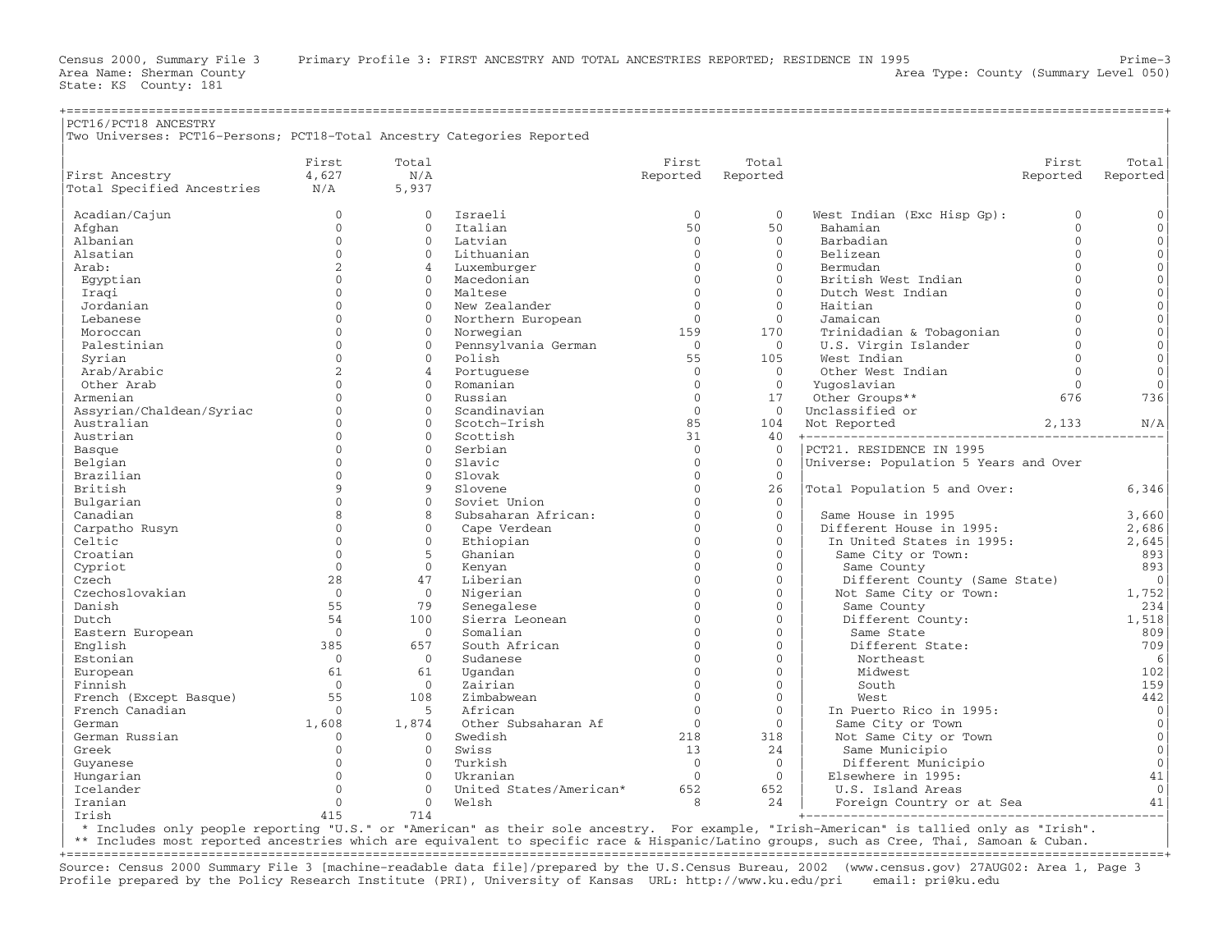State: KS County: 181

| PCT16/PCT18 ANCESTRY                                                   |                |                |                         |                |                     |                                       |              |                     |
|------------------------------------------------------------------------|----------------|----------------|-------------------------|----------------|---------------------|---------------------------------------|--------------|---------------------|
| Two Universes: PCT16-Persons; PCT18-Total Ancestry Categories Reported |                |                |                         |                |                     |                                       |              |                     |
|                                                                        | First          | Total          |                         | First          | Total               |                                       | First        | Total               |
| First Ancestry                                                         | 4,627          | N/A            |                         | Reported       | Reported            |                                       | Reported     | Reported            |
| Total Specified Ancestries                                             | N/A            | 5,937          |                         |                |                     |                                       |              |                     |
| Acadian/Cajun                                                          | $\mathbf{0}$   | $\Omega$       | Israeli                 | $\mathbf{0}$   | $\mathbf{0}$        | West Indian (Exc Hisp Gp):            | $\mathbf{0}$ | $\mathsf{O}\xspace$ |
| Afghan                                                                 | $\Omega$       | $\Omega$       | Italian                 | 50             | 50                  | Bahamian                              | $\Omega$     | $\circ$             |
| Albanian                                                               | $\mathbf{0}$   | $\mathbf{0}$   | Latvian                 | $\mathbf 0$    | $\mathbf{0}$        | Barbadian                             | $\mathbf{0}$ | $\mathsf{O}\xspace$ |
| Alsatian                                                               | $\Omega$       | $\Omega$       | Lithuanian              | $\Omega$       | $\Omega$            | Belizean                              | $\Omega$     | $\mathsf{O}\xspace$ |
| Arab:                                                                  | 2              | $\overline{4}$ | Luxemburger             | $\Omega$       | $\Omega$            | Bermudan                              | $\Omega$     | $\mathsf{O}\xspace$ |
| Egyptian                                                               | $\Omega$       | $\Omega$       | Macedonian              | $\Omega$       | $\Omega$            | British West Indian                   | $\Omega$     | $\overline{0}$      |
| Iraqi                                                                  | $\cap$         | $\mathbf{0}$   | Maltese                 | $\Omega$       | $\mathbf{0}$        | Dutch West Indian                     | $\Omega$     | $\mathsf{O}\xspace$ |
| Jordanian                                                              | $\cap$         | $\Omega$       | New Zealander           | $\Omega$       | $\Omega$            | Haitian                               | $\Omega$     | $\mathbf{O}$        |
| Lebanese                                                               | $\Omega$       | $\Omega$       | Northern European       | $\Omega$       | $\mathbf{0}$        | Jamaican                              | $\cap$       | $\mathbf 0$         |
| Moroccan                                                               | $\Omega$       | $\Omega$       | Norwegian               | 159            | 170                 | Trinidadian & Tobagonian              | $\cap$       | $\mathbf{O}$        |
| Palestinian                                                            | $\Omega$       | $\mathbf{0}$   | Pennsylvania German     | $\overline{0}$ | $\mathbf{0}$        | U.S. Virgin Islander                  | $\Omega$     | $\mathsf{O}\xspace$ |
| Syrian                                                                 | $\Omega$       | $\Omega$       | Polish                  | 55             | 105                 | West Indian                           | $\Omega$     | $\mathbf{0}$        |
| Arab/Arabic                                                            | $\overline{a}$ | $\overline{a}$ | Portuguese              | $\Omega$       | $\Omega$            | Other West Indian                     | $\Omega$     | $\mathbf{O}$        |
| Other Arab                                                             | $\Omega$       | $\Omega$       | Romanian                | $\Omega$       | $\Omega$            | Yuqoslavian                           | $\Omega$     | $\mathbf{0}$        |
| Armenian                                                               | $\Omega$       | $\mathbf{0}$   | Russian                 | $\mathbf{0}$   | 17                  | Other Groups**                        | 676          | 736                 |
| Assyrian/Chaldean/Syriac                                               | $\Omega$       | $\Omega$       | Scandinavian            | $\Omega$       | $\Omega$            | Unclassified or                       |              |                     |
| Australian                                                             | $\Omega$       | $\Omega$       | Scotch-Irish            | 85             | 104                 | Not Reported                          | 2,133        | N/A                 |
| Austrian                                                               | $\Omega$       | $\Omega$       | Scottish                | 31             | 40                  |                                       |              |                     |
| Basque                                                                 | $\Omega$       | $\Omega$       | Serbian                 | $\Omega$       | $\Omega$            | PCT21. RESIDENCE IN 1995              |              |                     |
| Belgian                                                                | $\Omega$       | $\mathbf{0}$   | Slavic                  | $\mathbf{0}$   | $\mathbf{0}$        | Universe: Population 5 Years and Over |              |                     |
| Brazilian                                                              | $\Omega$       | $\Omega$       | Slovak                  | $\Omega$       | $\Omega$            |                                       |              |                     |
| British                                                                | 9              | $\overline{9}$ | Slovene                 | $\mathbf{0}$   | 26                  | Total Population 5 and Over:          |              | 6,346               |
| Bulgarian                                                              | $\Omega$       | $\Omega$       | Soviet Union            | $\Omega$       | $\Omega$            |                                       |              |                     |
| Canadian                                                               | 8              | 8              | Subsaharan African:     | $\Omega$       | $\mathbf{0}$        | Same House in 1995                    |              | 3,660               |
| Carpatho Rusyn                                                         | $\Omega$       | $\Omega$       | Cape Verdean            | $\Omega$       | $\Omega$            | Different House in 1995:              |              | 2,686               |
| Celtic                                                                 | $\Omega$       | $\mathbf{0}$   | Ethiopian               | $\Omega$       | $\mathsf{O}\xspace$ | In United States in 1995:             |              | 2,645               |
| Croatian                                                               | $\Omega$       | 5              | Ghanian                 | $\Omega$       | $\Omega$            | Same City or Town:                    |              | 893                 |
| Cypriot                                                                | $\Omega$       | $\mathbf{0}$   | Kenyan                  | $\Omega$       | $\mathbf{0}$        | Same County                           |              | 893                 |
| Czech                                                                  | 28             | 47             | Liberian                | $\Omega$       | $\Omega$            | Different County (Same State)         |              | $\overline{0}$      |
| Czechoslovakian                                                        | $\overline{0}$ | $\overline{0}$ | Nigerian                | $\Omega$       | $\mathbf{0}$        | Not Same City or Town:                |              | 1,752               |
| Danish                                                                 | 55             | 79             | Senegalese              | $\Omega$       | $\Omega$            | Same County                           |              | 234                 |
| Dutch                                                                  | 54             | 100            | Sierra Leonean          | $\Omega$       | $\Omega$            | Different County:                     |              | 1,518               |
| Eastern European                                                       | $\Omega$       | $\mathbf{0}$   | Somalian                | $\Omega$       | $\Omega$            | Same State                            |              | 809                 |
| English                                                                | 385            | 657            | South African           | $\Omega$       | $\mathbf{0}$        | Different State:                      |              | 709                 |
| Estonian                                                               | $\Omega$       | $\Omega$       | Sudanese                | $\Omega$       | $\Omega$            | Northeast                             |              | 6                   |
| European                                                               | 61             | 61             | Ugandan                 | $\Omega$       | $\Omega$            | Midwest                               |              | 102                 |
| Finnish                                                                | $\Omega$       | $\overline{0}$ | Zairian                 | $\Omega$       | $\mathbf{0}$        | South                                 |              | 159                 |
| French (Except Basque)                                                 | 55             | 108            | Zimbabwean              | $\Omega$       | $\Omega$            | West                                  |              | 442                 |
| French Canadian                                                        | $\Omega$       | 5              | African                 | $\Omega$       | $\Omega$            | In Puerto Rico in 1995:               |              | $\mathbf 0$         |
| German                                                                 | 1,608          | 1,874          | Other Subsaharan Af     | $\Omega$       | $\Omega$            | Same City or Town                     |              | $\circ$             |
| German Russian                                                         | $\mathbf{0}$   | $\Omega$       | Swedish                 | 218            | 318                 | Not Same City or Town                 |              | $\mathbf{0}$        |
| Greek                                                                  | $\Omega$       | $\Omega$       | Swiss                   | 13             | 24                  | Same Municipio                        |              | $\circ$             |
| Guyanese                                                               | $\cap$         | $\Omega$       | Turkish                 | $\Omega$       | $\Omega$            | Different Municipio                   |              | $\mathbf{0}$        |
| Hungarian                                                              | $\Omega$       | $\Omega$       | Ukranian                | $\mathbf{0}$   | $\mathbf{0}$        | Elsewhere in 1995:                    |              | 41                  |
| Icelander                                                              | $\Omega$       | $\Omega$       | United States/American* | 652            | 652                 | U.S. Island Areas                     |              | $\Omega$            |
| Iranian                                                                | $\Omega$       | $\Omega$       | Welsh                   | 8              | 24                  | Foreign Country or at Sea             |              | 41                  |
| Irish                                                                  | 415            | 714            |                         |                |                     |                                       |              |                     |

| \* Includes only people reporting "U.S." or "American" as their sole ancestry. For example, "Irish−American" is tallied only as "Irish". |

\*\* Includes most reported ancestries which are equivalent to specific race & Hispanic/Latino groups, such as Cree, Thai, Samoan & Cuban. +===================================================================================================================================================+

Source: Census 2000 Summary File 3 [machine−readable data file]/prepared by the U.S.Census Bureau, 2002 (www.census.gov) 27AUG02: Area 1, Page 3 Profile prepared by the Policy Research Institute (PRI), University of Kansas URL: http://www.ku.edu/pri email: pri@ku.edu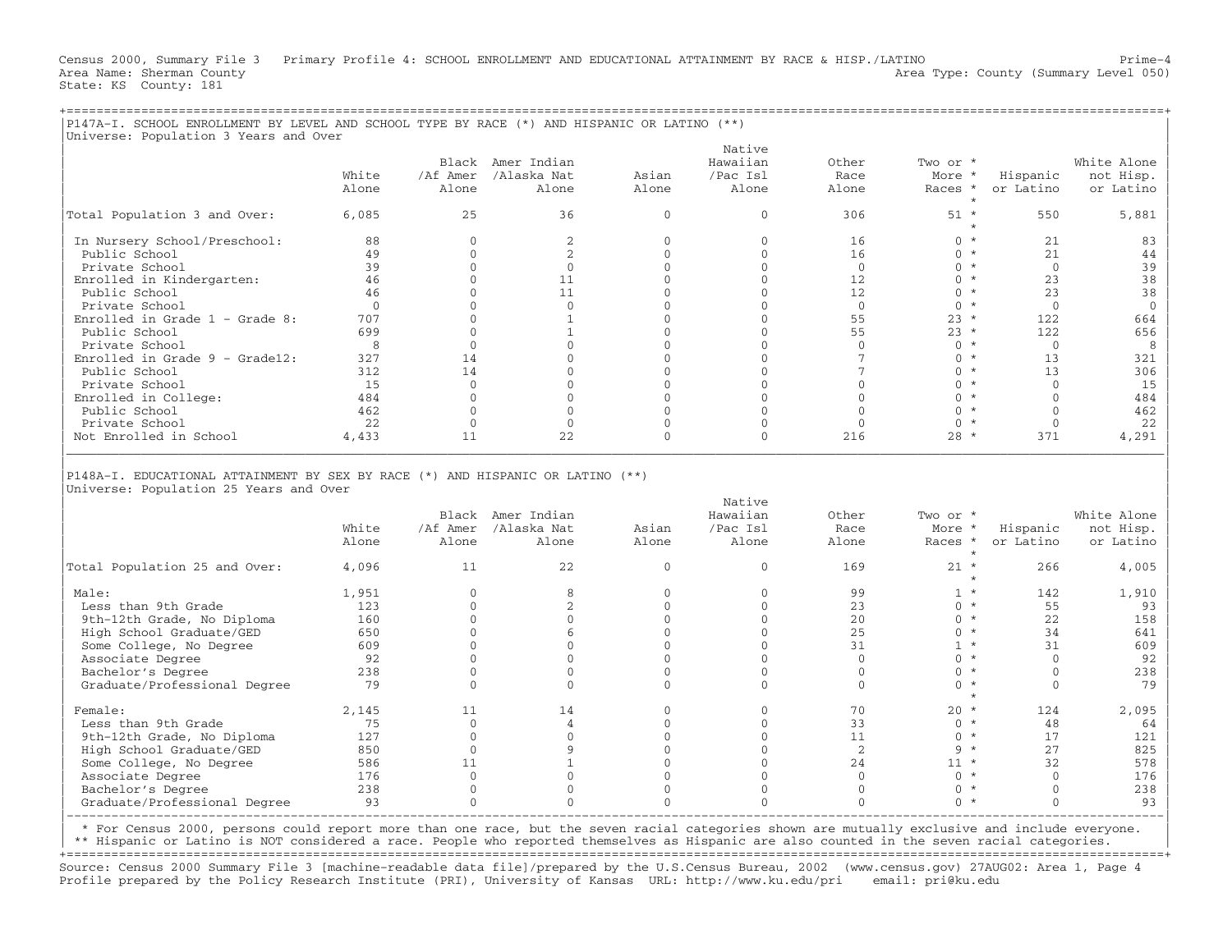Census 2000, Summary File 3 Primary Profile 4: SCHOOL ENROLLMENT AND EDUCATIONAL ATTAINMENT BY RACE & HISP./LATINO Prime−4 Area Name: Sherman County (Summary Level 050) (Area Type: County (Summary Level 050) State: KS County: 181

| P147A-I. SCHOOL ENROLLMENT BY LEVEL AND SCHOOL TYPE BY RACE (*) AND HISPANIC OR LATINO (**)<br>Universe: Population 3 Years and Over |       |          |                   |       |          |       |          |           |             |
|--------------------------------------------------------------------------------------------------------------------------------------|-------|----------|-------------------|-------|----------|-------|----------|-----------|-------------|
|                                                                                                                                      |       |          |                   |       | Native   |       |          |           |             |
|                                                                                                                                      |       |          | Black Amer Indian |       | Hawaiian | Other | Two or * |           | White Alone |
|                                                                                                                                      | White | /Af Amer | /Alaska Nat       | Asian | /Pac Isl | Race  | More *   | Hispanic  | not Hisp.   |
|                                                                                                                                      | Alone | Alone    | Alone             | Alone | Alone    | Alone | Races *  | or Latino | or Latino   |
|                                                                                                                                      |       |          |                   |       |          |       |          |           |             |
| Total Population 3 and Over:                                                                                                         | 6,085 | 25       | 36                |       |          | 306   | $51 *$   | 550       | 5,881       |
| In Nursery School/Preschool:                                                                                                         | 88    |          |                   |       |          | 16    | ∩ *      | 21        | 83          |
| Public School                                                                                                                        | 49    |          |                   |       |          | 16    | ∩ *      | 21        | 44          |
| Private School                                                                                                                       | 39    |          |                   |       |          |       |          |           | 39          |
| Enrolled in Kindergarten:                                                                                                            | 46    |          |                   |       |          | 12    | ∩ *      | 23        | 38          |
| Public School                                                                                                                        | 46    |          |                   |       |          | 12    | ∩ *      | 23        | 38          |
| Private School                                                                                                                       |       |          |                   |       |          |       |          |           |             |
| Enrolled in Grade $1$ - Grade 8:                                                                                                     | 707   |          |                   |       |          | 55    | $23 *$   | 122       | 664         |
| Public School                                                                                                                        | 699   |          |                   |       |          | 55    | $23 *$   | 122       | 656         |
| Private School                                                                                                                       |       |          |                   |       |          |       |          |           |             |
| Enrolled in Grade $9 -$ Grade12:                                                                                                     | 327   |          |                   |       |          |       |          |           | 321         |
| Public School                                                                                                                        | 312   |          |                   |       |          |       | $\star$  |           | 306         |
| Private School                                                                                                                       | 15    |          |                   |       |          |       |          |           | 15          |
| Enrolled in College:                                                                                                                 | 484   |          |                   |       |          |       |          |           | 484         |

| Public School 462 0 0 0 0 0 0 \* 0 462 | | Private School 22 0 0 0 0 0 0 \* 0 22 | | Not Enrolled in School 4,433 11 22 0 0 216 28 \* 371 4,291 | |\_\_\_\_\_\_\_\_\_\_\_\_\_\_\_\_\_\_\_\_\_\_\_\_\_\_\_\_\_\_\_\_\_\_\_\_\_\_\_\_\_\_\_\_\_\_\_\_\_\_\_\_\_\_\_\_\_\_\_\_\_\_\_\_\_\_\_\_\_\_\_\_\_\_\_\_\_\_\_\_\_\_\_\_\_\_\_\_\_\_\_\_\_\_\_\_\_\_\_\_\_\_\_\_\_\_\_\_\_\_\_\_\_\_\_\_\_\_\_\_\_\_\_\_\_\_\_\_\_\_\_\_\_\_\_\_\_\_\_\_\_\_\_\_\_\_\_| | |

|P148A−I. EDUCATIONAL ATTAINMENT BY SEX BY RACE (\*) AND HISPANIC OR LATINO (\*\*) | |Universe: Population 25 Years and Over |

|                               |       |          |             |       | Native   |       |          |           |             |
|-------------------------------|-------|----------|-------------|-------|----------|-------|----------|-----------|-------------|
|                               |       | Black    | Amer Indian |       | Hawaiian | Other | Two or * |           | White Alone |
|                               | White | /Af Amer | /Alaska Nat | Asian | /Pac Isl | Race  | More *   | Hispanic  | not Hisp.   |
|                               | Alone | Alone    | Alone       | Alone | Alone    | Alone | Races *  | or Latino | or Latino   |
| Total Population 25 and Over: | 4,096 | 11       | 22          |       |          | 169   | $21 *$   | 266       | 4,005       |
| Male:                         | 1,951 |          |             |       |          | 99    |          | 142       | 1,910       |
| Less than 9th Grade           | 123   |          |             |       |          | 23    |          | 55        | 93          |
| 9th-12th Grade, No Diploma    | 160   |          |             |       |          | 20    |          | 22        | 158         |
| High School Graduate/GED      | 650   |          |             |       |          | 25    |          | 34        | 641         |
| Some College, No Degree       | 609   |          |             |       |          | 31    |          | 31        | 609         |
| Associate Degree              | 92    |          |             |       |          |       |          |           | 92          |
| Bachelor's Degree             | 238   |          |             |       |          |       |          |           | 238         |
| Graduate/Professional Degree  | 79    |          |             |       |          |       |          |           | 79          |
| Female:                       | 2,145 | 11       | 14          |       |          | 70    | $20 *$   | 124       | 2,095       |
| Less than 9th Grade           | 75    |          |             |       |          | 33    |          | 48        | 64          |
| 9th-12th Grade, No Diploma    | 127   |          |             |       |          | 11    |          | 17        | 121         |
| High School Graduate/GED      | 850   |          |             |       |          |       |          | 2.7       | 825         |
| Some College, No Degree       | 586   |          |             |       |          | 24    | $11 *$   | 32        | 578         |
| Associate Degree              | 176   |          |             |       |          |       |          |           | 176         |
| Bachelor's Degree             | 238   |          |             |       |          |       |          |           | 238         |
| Graduate/Professional Degree  | 93    |          |             |       |          |       |          |           | 93          |
|                               |       |          |             |       |          |       |          |           |             |

| \* For Census 2000, persons could report more than one race, but the seven racial categories shown are mutually exclusive and include everyone. |

\*\* Hispanic or Latino is NOT considered a race. People who reported themselves as Hispanic are also counted in the seven racial categories. +===================================================================================================================================================+

Source: Census 2000 Summary File 3 [machine−readable data file]/prepared by the U.S.Census Bureau, 2002 (www.census.gov) 27AUG02: Area 1, Page 4 Profile prepared by the Policy Research Institute (PRI), University of Kansas URL: http://www.ku.edu/pri email: pri@ku.edu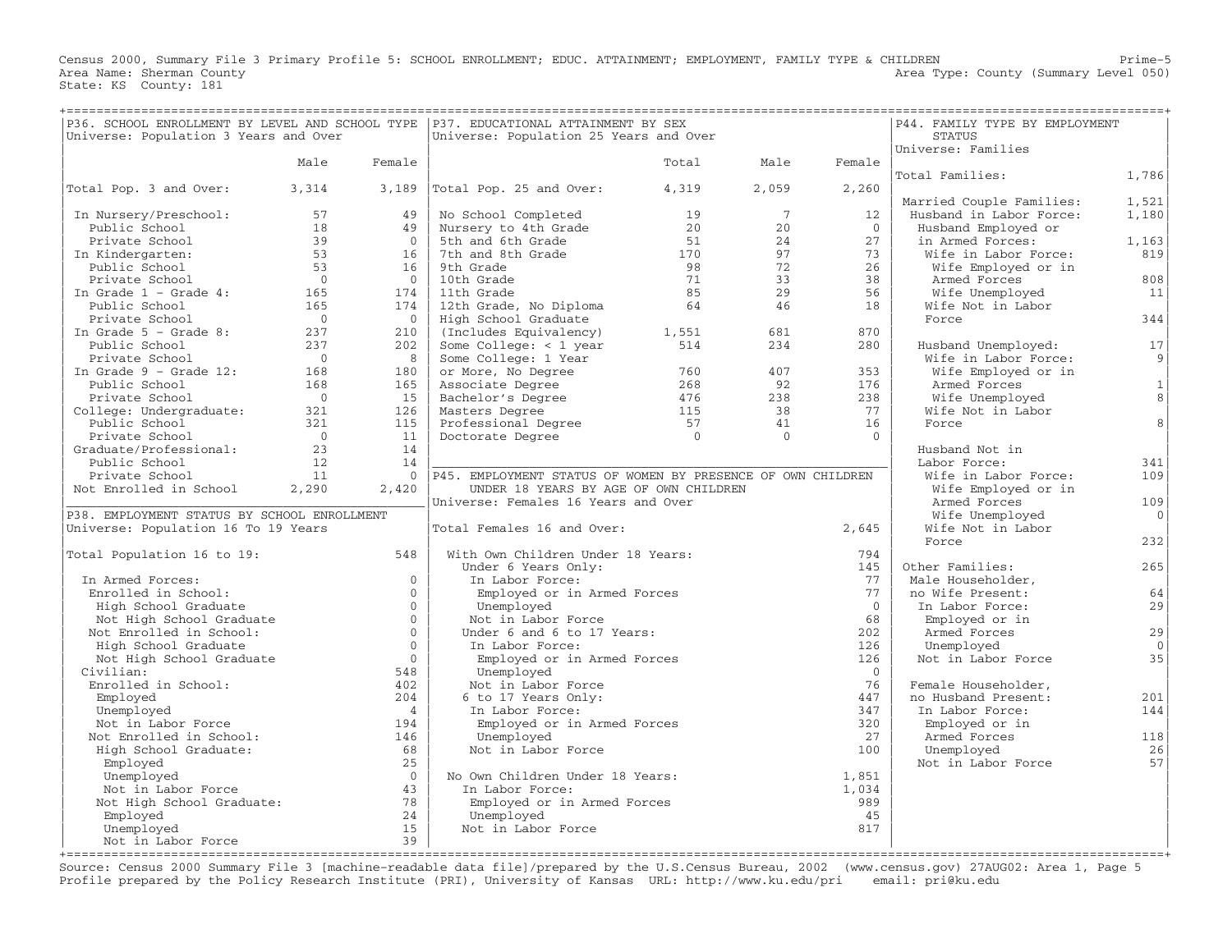Census 2000, Summary File 3 Primary Profile 5: SCHOOL ENROLLMENT; EDUC. ATTAINMENT; EMPLOYMENT, FAMILY TYPE & CHILDREN Prime−5 Area Name: Sherman County 1999 and County Area Type: County (Summary Level 050) State: KS County: 181

| P36. SCHOOL ENROLLMENT BY LEVEL AND SCHOOL TYPE   P37. EDUCATIONAL ATTAINMENT BY SEX<br>Universe: Population 3 Years and Over |                  |                | Universe: Population 25 Years and Over                      |                  | P44. FAMILY TYPE BY EMPLOYMENT<br><b>STATUS</b> |                |                                      |              |
|-------------------------------------------------------------------------------------------------------------------------------|------------------|----------------|-------------------------------------------------------------|------------------|-------------------------------------------------|----------------|--------------------------------------|--------------|
|                                                                                                                               |                  |                |                                                             |                  |                                                 |                | Universe: Families                   |              |
|                                                                                                                               | Male             | Female         |                                                             | Total            | Male                                            | Female         |                                      |              |
|                                                                                                                               |                  |                |                                                             |                  |                                                 |                | Total Families:                      | 1,786        |
| Total Pop. 3 and Over:                                                                                                        | 3,314            | 3,189          | Total Pop. 25 and Over:                                     | 4,319            | 2,059                                           | 2,260          |                                      |              |
|                                                                                                                               |                  |                |                                                             |                  |                                                 |                | Married Couple Families:             | 1,521        |
| In Nursery/Preschool:                                                                                                         | 57               | 49             | No School Completed                                         | 19               | 7                                               | 12             | Husband in Labor Force:              | 1,180        |
| Public School                                                                                                                 | 18               | 49             | Nursery to 4th Grade                                        | 20               | 20                                              | $\overline{0}$ | Husband Employed or                  |              |
| Private School                                                                                                                | 39               | $\Omega$       | 5th and 6th Grade                                           | 51               | 2.4                                             | 2.7            | in Armed Forces:                     | 1,163        |
| In Kindergarten:                                                                                                              | 53               | 16             | 7th and 8th Grade                                           | 170              | 97                                              | 73             | Wife in Labor Force:                 | 819          |
| Public School                                                                                                                 | 53               | 16             | 9th Grade                                                   | 98               | 72                                              | 26             | Wife Employed or in                  |              |
| Private School                                                                                                                | $\Omega$         | $\Omega$       | 10th Grade                                                  | 71               | 33                                              | 38             | Armed Forces                         | 808          |
| In Grade $1$ - Grade $4$ :                                                                                                    | 165              | 174            | 11th Grade                                                  | 85               | 29                                              | 56             | Wife Unemployed                      | 11           |
| Public School                                                                                                                 | 165              | 174            | 12th Grade, No Diploma                                      | 64               | 46                                              | 18             | Wife Not in Labor                    |              |
| Private School                                                                                                                | $\bigcirc$       | $\Omega$       | High School Graduate                                        |                  |                                                 |                | Force                                | 344          |
| In Grade $5$ - Grade 8:                                                                                                       | 237              | 210            | (Includes Equivalency)                                      | 1,551            | 681                                             | 870            |                                      |              |
| Public School                                                                                                                 | 237              | 202            | Some College: $<$ 1 year                                    | 514              | 234                                             | 280            | Husband Unemployed:                  | 17           |
| Private School                                                                                                                | $\overline{0}$   | 8              | Some College: 1 Year                                        |                  |                                                 |                | Wife in Labor Force:                 | 9            |
| In Grade $9 -$ Grade 12:                                                                                                      | 168              | 180            | or More, No Degree                                          | 760              | 407                                             | 353            | Wife Employed or in                  |              |
| Public School                                                                                                                 | 168              | 165            | Associate Degree                                            | 268              | 92                                              | 176            | Armed Forces                         | $\mathbf{1}$ |
| Private School                                                                                                                | $\overline{0}$   | 15             | Bachelor's Degree                                           | 476              | 238                                             | 238            | Wife Unemployed                      | 8            |
| College: Undergraduate:                                                                                                       | 321              | 126            | Masters Degree                                              | 115              | 38                                              | 77             | Wife Not in Labor                    | 8            |
| Public School                                                                                                                 | 321<br>$\bigcap$ | 115<br>11      | Professional Degree                                         | 57<br>$\bigcirc$ | 41<br>$\Omega$                                  | 16<br>$\Omega$ | Force                                |              |
| Private School                                                                                                                | 23               | 14             | Doctorate Degree                                            |                  |                                                 |                |                                      |              |
| Graduate/Professional:                                                                                                        | 12               | 14             |                                                             |                  |                                                 |                | Husband Not in                       |              |
| Public School<br>Private School                                                                                               | 11               | $\Omega$       | P45. EMPLOYMENT STATUS OF WOMEN BY PRESENCE OF OWN CHILDREN |                  |                                                 |                | Labor Force:<br>Wife in Labor Force: | 341<br>109   |
| Not Enrolled in School                                                                                                        | 2,290            | 2,420          | UNDER 18 YEARS BY AGE OF OWN CHILDREN                       |                  |                                                 |                | Wife Employed or in                  |              |
|                                                                                                                               |                  |                | Universe: Females 16 Years and Over                         |                  |                                                 |                | Armed Forces                         | 109          |
| P38. EMPLOYMENT STATUS BY SCHOOL ENROLLMENT                                                                                   |                  |                |                                                             |                  |                                                 |                | Wife Unemployed                      | $\Omega$     |
| Universe: Population 16 To 19 Years                                                                                           |                  |                | Total Females 16 and Over:                                  |                  |                                                 | 2,645          | Wife Not in Labor                    |              |
|                                                                                                                               |                  |                |                                                             |                  |                                                 |                | Force                                | 232          |
| Total Population 16 to 19:                                                                                                    |                  | 548            | With Own Children Under 18 Years:                           |                  |                                                 | 794            |                                      |              |
|                                                                                                                               |                  |                | Under 6 Years Only:                                         |                  |                                                 | 145            | Other Families:                      | 265          |
| In Armed Forces:                                                                                                              |                  | $\Omega$       | In Labor Force:                                             |                  |                                                 | 77             | Male Householder,                    |              |
| Enrolled in School:                                                                                                           |                  | $\Omega$       | Employed or in Armed Forces                                 |                  |                                                 | 77             | no Wife Present:                     | 64           |
| High School Graduate                                                                                                          |                  | $\Omega$       | Unemployed                                                  |                  |                                                 | $\bigcap$      | In Labor Force:                      | 29           |
| Not High School Graduate                                                                                                      |                  | $\Omega$       | Not in Labor Force                                          |                  |                                                 | 68             | Employed or in                       |              |
| Not Enrolled in School:                                                                                                       |                  | $\Omega$       | Under 6 and 6 to 17 Years:                                  |                  |                                                 | 202            | Armed Forces                         | 29           |
| High School Graduate                                                                                                          |                  | $\Omega$       | In Labor Force:                                             |                  |                                                 | 126            | Unemployed                           | $\Omega$     |
| Not High School Graduate                                                                                                      |                  | $\Omega$       | Employed or in Armed Forces                                 |                  |                                                 | 126            | Not in Labor Force                   | 35           |
| Civilian:                                                                                                                     |                  | 548            | Unemployed                                                  |                  |                                                 | $\overline{0}$ |                                      |              |
| Enrolled in School:                                                                                                           |                  | 402            | Not in Labor Force                                          |                  |                                                 | 76             | Female Householder,                  |              |
| Employed                                                                                                                      |                  | 204            | 6 to 17 Years Only:                                         |                  |                                                 | 447            | no Husband Present:                  | 201          |
| Unemployed                                                                                                                    |                  | $\overline{4}$ | In Labor Force:                                             |                  |                                                 | 347            | In Labor Force:                      | 144          |
| Not in Labor Force                                                                                                            |                  | 194            | Employed or in Armed Forces                                 |                  |                                                 | 320            | Employed or in                       |              |
| Not Enrolled in School:                                                                                                       |                  | 146            | Unemployed                                                  |                  |                                                 | 27             | Armed Forces                         | 118          |
| High School Graduate:                                                                                                         |                  | 68             | Not in Labor Force                                          |                  |                                                 | 100            | Unemployed                           | 26           |
| Employed                                                                                                                      |                  | 25             |                                                             |                  |                                                 |                | Not in Labor Force                   | 57           |
| Unemployed                                                                                                                    |                  | $\bigcirc$     | No Own Children Under 18 Years:                             |                  |                                                 | 1,851          |                                      |              |
| Not in Labor Force                                                                                                            |                  | 43             | In Labor Force:                                             |                  |                                                 | 1,034          |                                      |              |
| Not High School Graduate:                                                                                                     |                  | 78             | Employed or in Armed Forces                                 |                  |                                                 | 989            |                                      |              |
| Employed                                                                                                                      |                  | 24             | Unemployed                                                  |                  |                                                 | 45             |                                      |              |
| Unemployed                                                                                                                    |                  | 15<br>39       | Not in Labor Force                                          |                  |                                                 | 817            |                                      |              |
| Not in Labor Force                                                                                                            |                  |                |                                                             |                  |                                                 |                |                                      |              |

Source: Census 2000 Summary File 3 [machine−readable data file]/prepared by the U.S.Census Bureau, 2002 (www.census.gov) 27AUG02: Area 1, Page 5 Profile prepared by the Policy Research Institute (PRI), University of Kansas URL: http://www.ku.edu/pri email: pri@ku.edu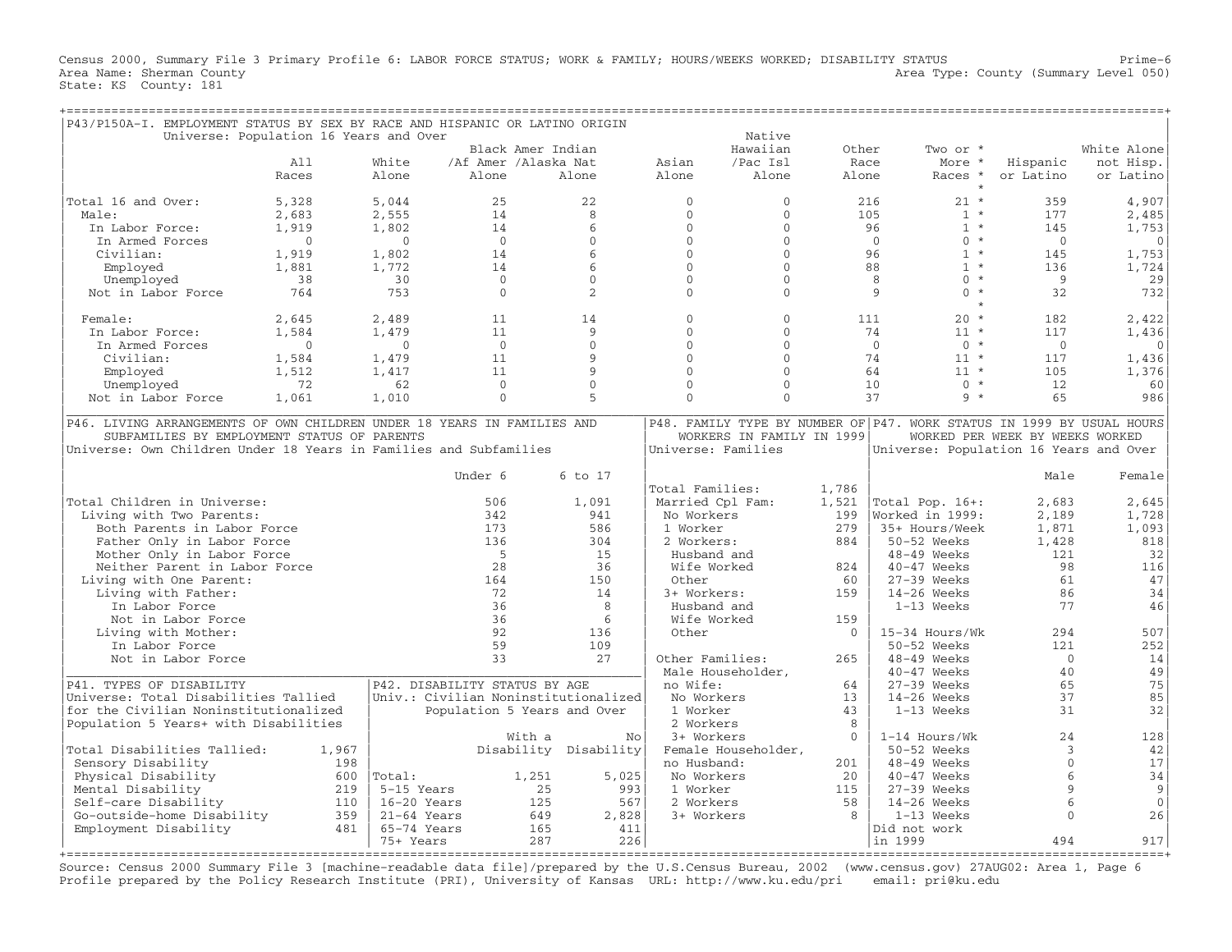Census 2000, Summary File 3 Primary Profile 6: LABOR FORCE STATUS; WORK & FAMILY; HOURS/WEEKS WORKED; DISABILITY STATUS Prime−6 Area Type: County (Summary Level 050) Area Name: Sherman County<br>State: KS County: 181

| P43/P150A-I. EMPLOYMENT STATUS BY SEX BY RACE AND HISPANIC OR LATINO ORIGIN |                                        |                                      |                             |                       |                     |                           |              |                                                                       |                                 |             |
|-----------------------------------------------------------------------------|----------------------------------------|--------------------------------------|-----------------------------|-----------------------|---------------------|---------------------------|--------------|-----------------------------------------------------------------------|---------------------------------|-------------|
|                                                                             | Universe: Population 16 Years and Over |                                      |                             |                       |                     | Native                    |              |                                                                       |                                 |             |
|                                                                             |                                        |                                      | Black Amer Indian           |                       |                     | Hawaiian                  | Other        | Two or *                                                              |                                 | White Alone |
|                                                                             | A11                                    | White                                | /Af Amer /Alaska Nat        |                       | Asian               | /Pac Isl                  | Race         | More *                                                                | Hispanic                        | not Hisp.   |
|                                                                             | Races                                  | Alone                                | Alone                       | Alone                 | Alone               | Alone                     | Alone        | Races *                                                               | or Latino                       | or Latino   |
| Total 16 and Over:                                                          | 5,328                                  | 5,044                                | 25                          | 22                    | $\mathbf{0}$        | $\mathbf{0}$              |              | 216<br>$21 *$                                                         | 359                             | 4,907       |
| Male:                                                                       | 2,683                                  | 2,555                                | 14                          | 8                     | $\Omega$            | $\Omega$                  |              | $1 *$<br>105                                                          | 177                             | 2,485       |
| In Labor Force:                                                             | 1,919                                  | 1,802                                | 14                          | 6                     | $\mathbf{0}$        | $\mathbf{0}$              |              | $1 *$<br>96                                                           | 145                             | 1,753       |
| In Armed Forces                                                             | $\Omega$                               | $\Omega$                             | $\Omega$                    | $\Omega$              | $\mathbf{0}$        | $\Omega$                  |              | $0 *$<br>$\Omega$                                                     | $\Omega$                        | $\Omega$    |
| Civilian:                                                                   | 1,919                                  | 1,802                                | 14                          | $6\overline{6}$       | $\Omega$            | $\Omega$                  |              | 96<br>$1 *$                                                           | 145                             | 1,753       |
| Employed                                                                    | 1,881                                  | 1,772                                | 14                          | 6                     | $\Omega$            | $\Omega$                  |              | 88<br>$1 *$                                                           | 136                             | 1,724       |
| Unemployed                                                                  | 38                                     | 30                                   | $\mathbf{0}$                | $\mathbf{0}$          | $\mathbf{0}$        | $\mathbf{0}$              |              | $0 *$<br>8                                                            | 9                               | 29          |
| Not in Labor Force                                                          | 764                                    | 753                                  | $\Omega$                    | $\mathfrak{D}$        | $\Omega$            | $\Omega$                  |              | $\mathbf{Q}$<br>$\Omega$<br>$\star$                                   | 32                              | 732         |
|                                                                             |                                        |                                      |                             |                       |                     |                           |              | $\star$                                                               |                                 |             |
| Female:                                                                     | 2,645                                  | 2,489                                | 11                          | 14                    | $\Omega$            | $\Omega$                  |              | $20 *$<br>111                                                         | 182                             | 2,422       |
| In Labor Force:                                                             | 1,584                                  | 1,479                                | 11                          | 9                     | $\mathbf{0}$        | $\mathbf{0}$              |              | 74<br>$11 *$                                                          | 117                             | 1,436       |
| In Armed Forces                                                             | $\Omega$                               | $\Omega$                             | $\Omega$                    | $\Omega$              | $\Omega$            | $\Omega$                  |              | $\Omega$<br>$0 *$                                                     | $\Omega$                        | $\mathbf 0$ |
| Civilian:                                                                   | 1,584                                  | 1,479                                | 11                          | 9                     | $\mathbf{0}$        | $\mathbf{0}$              |              | 74<br>$11 *$                                                          | 117                             | 1,436       |
| Employed                                                                    | 1,512                                  | 1,417                                | 11                          | $\mathbf{Q}$          | $\Omega$            | $\Omega$                  |              | 64<br>$11 *$                                                          | 105                             | 1,376       |
| Unemployed                                                                  | 72                                     | 62                                   | $\mathbf{0}$                | $\Omega$              | $\Omega$            | $\Omega$                  |              | $0 *$<br>10                                                           | 12                              | 60          |
| Not in Labor Force                                                          | 1,061                                  | 1,010                                | $\Omega$                    | $\overline{5}$        | $\Omega$            | $\Omega$                  |              | $9 *$<br>37                                                           | 65                              | 986         |
| P46. LIVING ARRANGEMENTS OF OWN CHILDREN UNDER 18 YEARS IN FAMILIES AND     |                                        |                                      |                             |                       |                     |                           |              | P48. FAMILY TYPE BY NUMBER OF P47. WORK STATUS IN 1999 BY USUAL HOURS |                                 |             |
| SUBFAMILIES BY EMPLOYMENT STATUS OF PARENTS                                 |                                        |                                      |                             |                       |                     | WORKERS IN FAMILY IN 1999 |              |                                                                       | WORKED PER WEEK BY WEEKS WORKED |             |
| Universe: Own Children Under 18 Years in Families and Subfamilies           |                                        |                                      |                             |                       | Universe: Families  |                           |              | Universe: Population 16 Years and Over                                |                                 |             |
|                                                                             |                                        |                                      |                             |                       |                     |                           |              |                                                                       |                                 |             |
|                                                                             |                                        |                                      | Under 6                     | 6 to 17               |                     |                           |              |                                                                       | Male                            | Female      |
|                                                                             |                                        |                                      |                             |                       | Total Families:     |                           | 1,786        |                                                                       |                                 |             |
| Total Children in Universe:                                                 |                                        |                                      | 506                         |                       | Married Cpl Fam:    |                           |              |                                                                       | 2,683                           |             |
| Living with Two Parents:                                                    |                                        |                                      | 342                         | 1,091<br>941          | No Workers          |                           | 1,521<br>199 | Total Pop. 16+:<br>Worked in 1999:                                    | 2,189                           | 2,645       |
|                                                                             |                                        |                                      |                             | 586                   |                     |                           |              |                                                                       |                                 | 1,728       |
| Both Parents in Labor Force                                                 |                                        |                                      | 173                         |                       | 1 Worker            |                           | 279          | 35+ Hours/Week                                                        | 1,871                           | 1,093       |
| Father Only in Labor Force                                                  |                                        |                                      | 136<br>$-5$                 | 304                   | 2 Workers:          |                           | 884          | 50-52 Weeks                                                           | 1,428                           | 818         |
| Mother Only in Labor Force                                                  |                                        |                                      |                             | 1.5                   | Husband and         |                           |              | 48-49 Weeks                                                           | 121                             | 32          |
| Neither Parent in Labor Force                                               |                                        |                                      | 28                          | 36                    | Wife Worked         |                           | 824          | 40-47 Weeks                                                           | 98                              | 116         |
| Living with One Parent:                                                     |                                        |                                      | 164                         | 150                   | Other               |                           | 60           | $27-39$ Weeks                                                         | 61                              | 47          |
| Living with Father:                                                         |                                        |                                      | 72                          | 14                    | 3+ Workers:         |                           | 159          | $14-26$ Weeks                                                         | 86                              | 34          |
| In Labor Force                                                              |                                        |                                      | 36                          | 8                     | Husband and         |                           |              | 1-13 Weeks                                                            | 77                              | 46          |
| Not in Labor Force                                                          |                                        |                                      | 36                          | 6                     | Wife Worked         |                           | 159          |                                                                       |                                 |             |
| Living with Mother:                                                         |                                        |                                      | 92                          | 136                   | Other               |                           | $\mathbf{0}$ | 15-34 Hours/Wk                                                        | 294                             | 507         |
| In Labor Force                                                              |                                        |                                      | 59                          | 109                   |                     |                           |              | $50-52$ Weeks                                                         | 121                             | 252         |
| Not in Labor Force                                                          |                                        |                                      | 33                          | 2.7                   | Other Families:     |                           | 265          | 48-49 Weeks                                                           | $\Omega$                        | 14          |
|                                                                             |                                        |                                      |                             |                       | Male Householder,   |                           |              | 40-47 Weeks                                                           | 40                              | 49          |
| P41. TYPES OF DISABILITY                                                    |                                        | P42. DISABILITY STATUS BY AGE        |                             |                       | no Wife:            |                           | 64           | 27-39 Weeks                                                           | 65                              | 75          |
| Universe: Total Disabilities Tallied                                        |                                        | Univ.: Civilian Noninstitutionalized |                             |                       | No Workers          |                           | 13           | $14-26$ Weeks                                                         | 37                              | 85          |
| for the Civilian Noninstitutionalized                                       |                                        |                                      | Population 5 Years and Over |                       | 1 Worker            |                           | 43           | 1-13 Weeks                                                            | 31                              | 32          |
| Population 5 Years+ with Disabilities                                       |                                        |                                      |                             |                       | 2 Workers           |                           | 8            |                                                                       |                                 |             |
|                                                                             |                                        |                                      | With a                      | No                    | 3+ Workers          |                           | $\Omega$     | $1-14$ Hours/Wk                                                       | 24                              | 128         |
| Total Disabilities Tallied:                                                 | 1,967                                  |                                      |                             | Disability Disability | Female Householder, |                           |              | 50-52 Weeks                                                           | 3                               | 42          |
| Sensory Disability                                                          | 198                                    |                                      |                             |                       | no Husband:         |                           | 201          | $48-49$ Weeks                                                         | $\Omega$                        | 17          |
| Physical Disability                                                         | 600                                    | Total:                               | 1,251                       | 5,025                 | No Workers          |                           | 20           | 40-47 Weeks                                                           | $6\phantom{1}$                  | 34          |
| Mental Disability                                                           | 219                                    | 5-15 Years                           | 25                          | 993                   | 1 Worker            |                           | 115          | $27-39$ Weeks                                                         | 9                               | 9           |
| Self-care Disability                                                        | 110                                    | 16-20 Years                          | 125                         | 567                   | 2 Workers           |                           | 58           | $14-26$ Weeks                                                         | $\sqrt{2}$                      | $\mathbf 0$ |
| Go-outside-home Disability                                                  | 359                                    | $21-64$ Years                        | 649                         | 2,828                 | 3+ Workers          |                           | 8            | $1-13$ Weeks                                                          | $\Omega$                        | 26          |
| Employment Disability                                                       | 481                                    | 65-74 Years                          | 165                         | 411                   |                     |                           |              | Did not work                                                          |                                 |             |
|                                                                             |                                        | 75+ Years                            | 287                         | 226                   |                     |                           |              | in 1999                                                               | 494                             | 917         |
|                                                                             |                                        |                                      |                             |                       |                     |                           |              |                                                                       |                                 |             |

Source: Census 2000 Summary File 3 [machine−readable data file]/prepared by the U.S.Census Bureau, 2002 (www.census.gov) 27AUG02: Area 1, Page 6 Profile prepared by the Policy Research Institute (PRI), University of Kansas URL: http://www.ku.edu/pri email: pri@ku.edu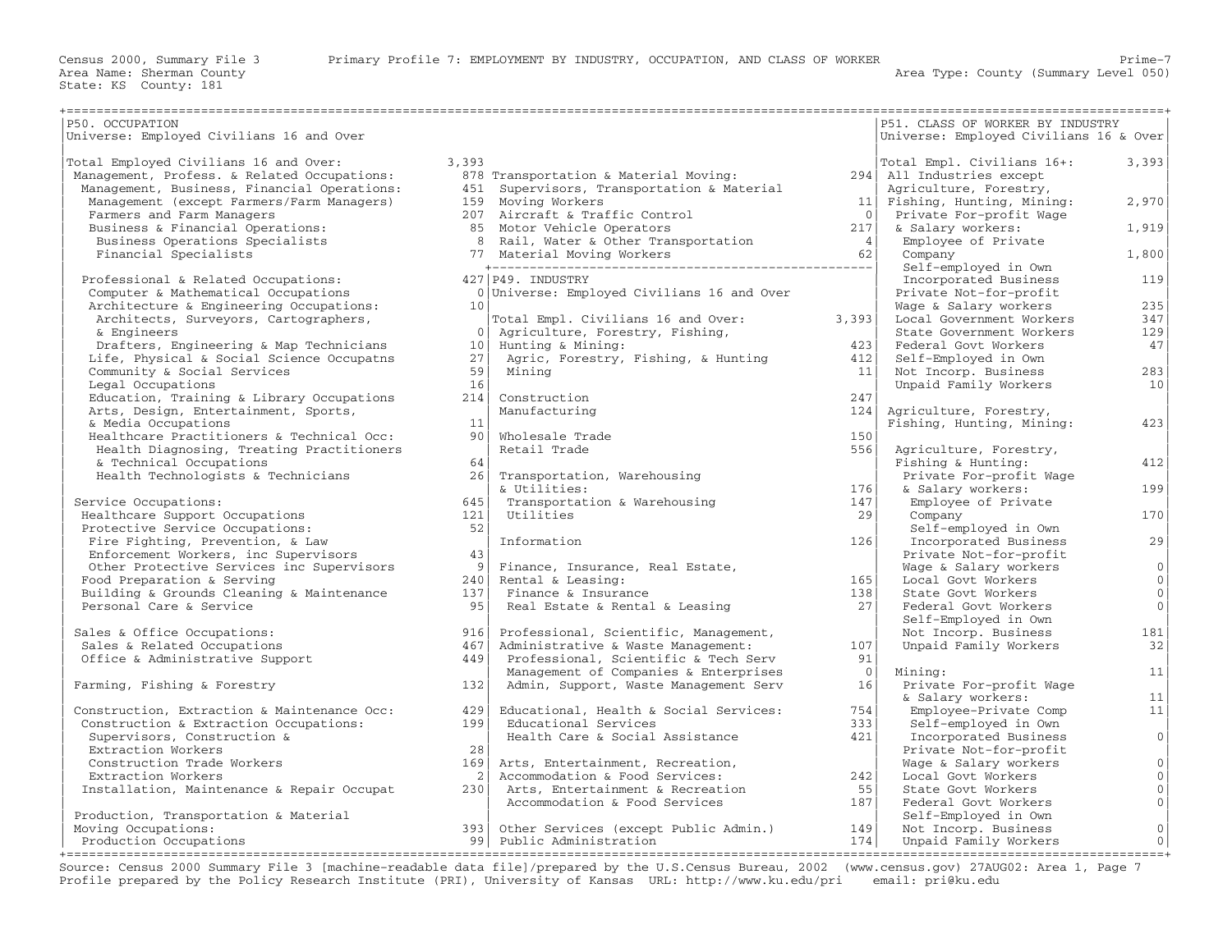| P50. OCCUPATION                             |                 |                                                      |                 | P51. CLASS OF WORKER BY INDUSTRY       |                     |
|---------------------------------------------|-----------------|------------------------------------------------------|-----------------|----------------------------------------|---------------------|
| Universe: Employed Civilians 16 and Over    |                 |                                                      |                 | Universe: Employed Civilians 16 & Over |                     |
| Total Employed Civilians 16 and Over:       | 3,393           |                                                      |                 | Total Empl. Civilians 16+:             | 3,393               |
| Management, Profess. & Related Occupations: |                 | 878 Transportation & Material Moving:                |                 | 294 All Industries except              |                     |
| Management, Business, Financial Operations: |                 | 451 Supervisors, Transportation & Material           |                 | Agriculture, Forestry,                 |                     |
| Management (except Farmers/Farm Managers)   |                 | 159 Moving Workers                                   | 11              | Fishing, Hunting, Mining:              | 2,970               |
| Farmers and Farm Managers                   |                 | 207 Aircraft & Traffic Control                       | $\Omega$        | Private For-profit Wage                |                     |
| Business & Financial Operations:            |                 | 85 Motor Vehicle Operators                           | 217             | & Salary workers:                      | 1,919               |
| Business Operations Specialists             |                 | 8 Rail, Water & Other Transportation                 | 4               | Employee of Private                    |                     |
| Financial Specialists                       |                 |                                                      | 62              | Company                                | 1,800               |
|                                             |                 |                                                      |                 | Self-employed in Own                   |                     |
| Professional & Related Occupations:         |                 | 427 P49. INDUSTRY                                    |                 | Incorporated Business                  | 119                 |
| Computer & Mathematical Occupations         |                 | 0 Universe: Employed Civilians 16 and Over           |                 | Private Not-for-profit                 |                     |
| Architecture & Engineering Occupations:     | 10              |                                                      |                 | Wage & Salary workers                  | 235                 |
| Architects, Surveyors, Cartographers,       |                 | Total Empl. Civilians 16 and Over:                   | 3,393           | Local Government Workers               | 347                 |
| & Engineers                                 | $\overline{0}$  |                                                      |                 | State Government Workers               | 129                 |
|                                             | 10 <sup>1</sup> | Agriculture, Forestry, Fishing,<br>Hunting & Mining: | 423             | Federal Govt Workers                   | 47                  |
| Drafters, Engineering & Map Technicians     | 27              |                                                      | 412             |                                        |                     |
| Life, Physical & Social Science Occupatns   | 59              | Agric, Forestry, Fishing, & Hunting                  |                 | Self-Employed in Own                   |                     |
| Community & Social Services                 | 16              | Minina                                               | 11              | Not Incorp. Business                   | 283                 |
| Legal Occupations                           |                 |                                                      |                 | Unpaid Family Workers                  | 10                  |
| Education, Training & Library Occupations   | 214             | Construction                                         | 247             |                                        |                     |
| Arts, Design, Entertainment, Sports,        |                 | Manufacturing                                        | 124             | Agriculture, Forestry,                 |                     |
| & Media Occupations                         | 11              |                                                      |                 | Fishing, Hunting, Mining:              | 423                 |
| Healthcare Practitioners & Technical Occ:   | 90 <sup>1</sup> | Wholesale Trade                                      | 150             |                                        |                     |
| Health Diagnosing, Treating Practitioners   |                 | Retail Trade                                         | 556             | Agriculture, Forestry,                 |                     |
| & Technical Occupations                     | 64              |                                                      |                 | Fishing & Hunting:                     | 412                 |
| Health Technologists & Technicians          | 26              | Transportation, Warehousing                          |                 | Private For-profit Wage                |                     |
|                                             |                 | & Utilities:                                         | 176             | & Salary workers:                      | 199                 |
| Service Occupations:                        | 645             | Transportation & Warehousing                         | 147             | Employee of Private                    |                     |
| Healthcare Support Occupations              | 121             | Utilities                                            | 29              | Company                                | 170                 |
| Protective Service Occupations:             | 52              |                                                      |                 | Self-employed in Own                   |                     |
| Fire Fighting, Prevention, & Law            |                 | Information                                          | 126             | Incorporated Business                  | 29                  |
| Enforcement Workers, inc Supervisors        | 43              |                                                      |                 | Private Not-for-profit                 |                     |
| Other Protective Services inc Supervisors   | 9 <sup>1</sup>  | Finance, Insurance, Real Estate,                     |                 | Wage & Salary workers                  | 0                   |
| Food Preparation & Serving                  | 240             | Rental & Leasing:                                    | 165             | Local Govt Workers                     | 0 <sup>1</sup>      |
| Building & Grounds Cleaning & Maintenance   | 137             | Finance & Insurance                                  | 138             | State Govt Workers                     | $\mathbf 0$         |
| Personal Care & Service                     | 95              | Real Estate & Rental & Leasing                       | 27 <sup>1</sup> | Federal Govt Workers                   | $\mathbf{0}$        |
|                                             |                 |                                                      |                 | Self-Employed in Own                   |                     |
| Sales & Office Occupations:                 | 916             | Professional, Scientific, Management,                |                 | Not Incorp. Business                   | 181                 |
| Sales & Related Occupations                 | 467             | Administrative & Waste Management:                   | 107             | Unpaid Family Workers                  | 32                  |
| Office & Administrative Support             | 449             | Professional, Scientific & Tech Serv                 | 91              |                                        |                     |
|                                             |                 | Management of Companies & Enterprises                | $\overline{0}$  | Mining:                                | 11                  |
| Farming, Fishing & Forestry                 | 132             | Admin, Support, Waste Management Serv                | 16              | Private For-profit Wage                |                     |
|                                             |                 |                                                      |                 | & Salary workers:                      | 11                  |
| Construction, Extraction & Maintenance Occ: | 429             | Educational, Health & Social Services:               | 754             | Employee-Private Comp                  | 11                  |
| Construction & Extraction Occupations:      | 1991            | Educational Services                                 | 3331            | Self-employed in Own                   |                     |
| Supervisors, Construction &                 |                 | Health Care & Social Assistance                      | 421             | Incorporated Business                  | 0 <sup>1</sup>      |
| Extraction Workers                          | 28              |                                                      |                 | Private Not-for-profit                 |                     |
| Construction Trade Workers                  | 169             | Arts, Entertainment, Recreation,                     |                 | Wage & Salary workers                  | $\overline{0}$      |
| Extraction Workers                          | -21             | Accommodation & Food Services:                       | 242             | Local Govt Workers                     | $\mathbb O$         |
| Installation, Maintenance & Repair Occupat  | 230             | Arts, Entertainment & Recreation                     | 55              | State Govt Workers                     | $\mathsf{O}\xspace$ |
|                                             |                 | Accommodation & Food Services                        | 187             | Federal Govt Workers                   | $\circ$             |
| Production, Transportation & Material       |                 |                                                      |                 | Self-Employed in Own                   |                     |
| Moving Occupations:                         |                 | 393 Other Services (except Public Admin.)            | 149             | Not Incorp. Business                   | $\circ$             |
| Production Occupations                      |                 | 99 Public Administration                             | 174             | Unpaid Family Workers                  | $\circ$             |
|                                             |                 |                                                      |                 |                                        |                     |

Source: Census 2000 Summary File 3 [machine−readable data file]/prepared by the U.S.Census Bureau, 2002 (www.census.gov) 27AUG02: Area 1, Page 7 Profile prepared by the Policy Research Institute (PRI), University of Kansas URL: http://www.ku.edu/pri email: pri@ku.edu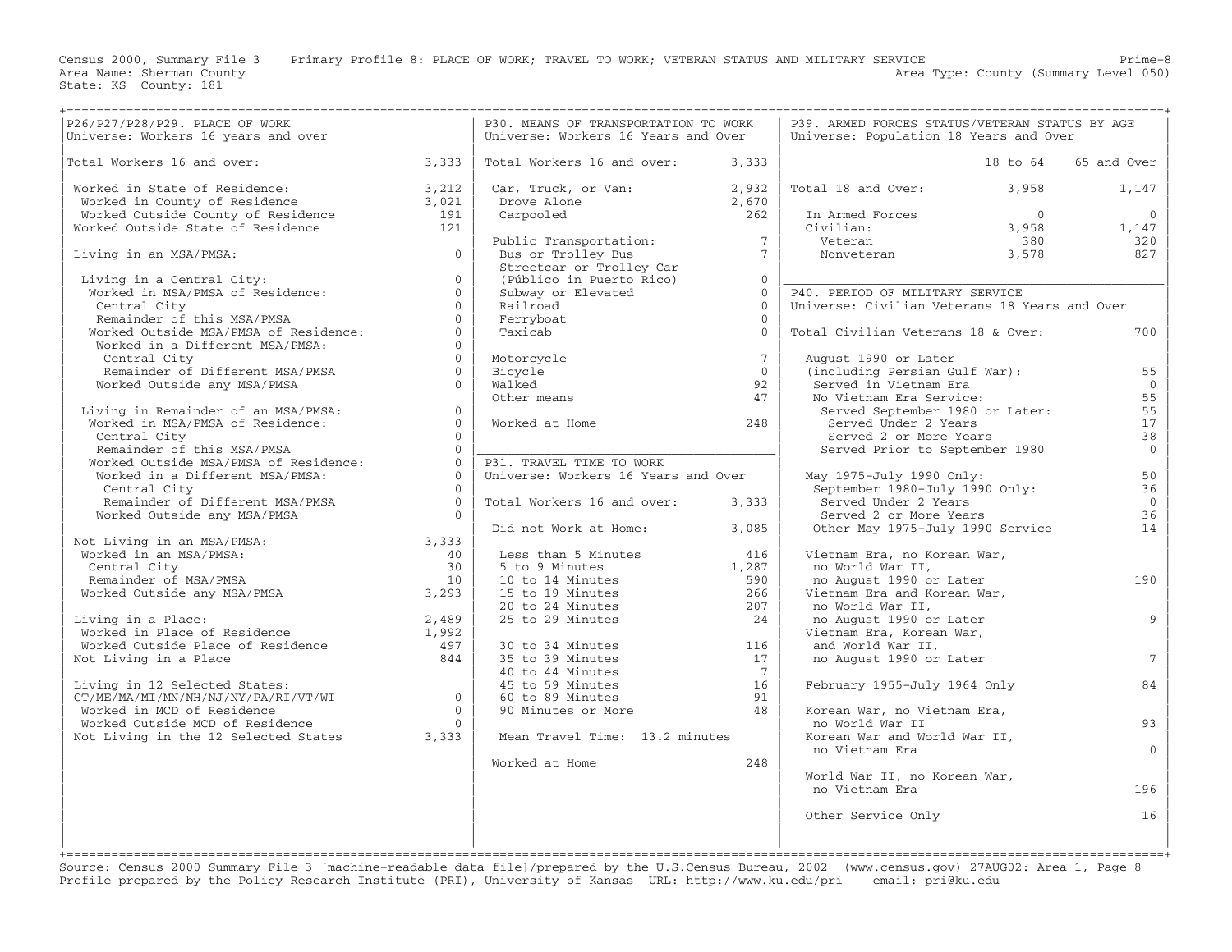Area Name: Sherman County<br>State: KS County: 181

Census 2000, Summary File 3 Primary Profile 8: PLACE OF WORK; TRAVEL TO WORK; VETERAN STATUS AND MILITARY SERVICE Prime−8

Area Type: County (Summary Level 050)

|                                                                                                                                                                                                         |                | P30. MEANS OF TRANSPORTATION TO WORK                                                                                                                                |                | P39. ARMED FORCES STATUS/VETERAN STATUS BY AGE                                                                     |          |                 |
|---------------------------------------------------------------------------------------------------------------------------------------------------------------------------------------------------------|----------------|---------------------------------------------------------------------------------------------------------------------------------------------------------------------|----------------|--------------------------------------------------------------------------------------------------------------------|----------|-----------------|
| P26/P27/P28/P29. PLACE OF WORK<br>Universe: Workers 16 years and over                                                                                                                                   |                | Universe: Workers 16 Years and Over                                                                                                                                 |                | Universe: Population 18 Years and Over                                                                             |          |                 |
|                                                                                                                                                                                                         |                |                                                                                                                                                                     |                |                                                                                                                    |          |                 |
| Total Workers 16 and over: $3,333$                                                                                                                                                                      |                | Total Workers 16 and over: 3,333                                                                                                                                    |                |                                                                                                                    | 18 to 64 | 65 and Over     |
|                                                                                                                                                                                                         |                |                                                                                                                                                                     |                |                                                                                                                    |          |                 |
| Worked in State of Residence: 3,212<br>Worked in County of Residence 3,021<br>Worked Outside County of Residence 191<br>Worked Outside State of Residence 121                                           |                | Car, Truck, or Van:<br>Drove Alone 2,670<br>Carpooled 262                                                                                                           |                | Total 18 and Over: 3,958                                                                                           |          | 1,147           |
|                                                                                                                                                                                                         |                |                                                                                                                                                                     |                |                                                                                                                    |          |                 |
|                                                                                                                                                                                                         |                |                                                                                                                                                                     |                |                                                                                                                    |          |                 |
|                                                                                                                                                                                                         |                |                                                                                                                                                                     |                |                                                                                                                    |          |                 |
|                                                                                                                                                                                                         |                |                                                                                                                                                                     |                |                                                                                                                    |          |                 |
|                                                                                                                                                                                                         |                |                                                                                                                                                                     |                |                                                                                                                    |          |                 |
| Living in an MSA/PMSA: $0$                                                                                                                                                                              |                |                                                                                                                                                                     |                |                                                                                                                    |          |                 |
|                                                                                                                                                                                                         |                |                                                                                                                                                                     |                |                                                                                                                    |          |                 |
| Living in a Central City:<br>Worked in MSA/PMSA of Residence:<br>Central City<br>Remainder of this MSA/PMSA<br>Worked Outside MSA/PMSA of Residence:<br>Worked in a Different MSA/PMSA:<br>Central City | $\overline{0}$ | Public Transportation:<br>Bus or Trolley Bus<br>Streetcar or Trolley Car<br>(Público in Puerto Rico)<br>Subway or Elevated<br>Railroad<br>Ferryboat<br>Taxicab<br>0 |                |                                                                                                                    |          |                 |
|                                                                                                                                                                                                         | $\Omega$       |                                                                                                                                                                     |                | P40. PERIOD OF MILITARY SERVICE                                                                                    |          |                 |
|                                                                                                                                                                                                         | $\Omega$       |                                                                                                                                                                     |                | Universe: Civilian Veterans 18 Years and Over                                                                      |          |                 |
|                                                                                                                                                                                                         | $\Omega$       |                                                                                                                                                                     |                |                                                                                                                    |          |                 |
|                                                                                                                                                                                                         | $\Omega$       |                                                                                                                                                                     |                | Total Civilian Veterans 18 & Over:                                                                                 |          | 700             |
|                                                                                                                                                                                                         | $\Omega$       |                                                                                                                                                                     |                |                                                                                                                    |          |                 |
| Central City                                                                                                                                                                                            | $0-1$          |                                                                                                                                                                     | $7^{\circ}$    | August 1990 or Later                                                                                               |          |                 |
|                                                                                                                                                                                                         |                |                                                                                                                                                                     |                |                                                                                                                    |          |                 |
| Remainder of Different MSA/PMSA<br>Worked Outside any MSA/PMSA                                                                                                                                          | $\overline{0}$ | Motorcycle<br>Bicycle<br>Walked<br>Other means                                                                                                                      | $\overline{0}$ | (including Persian Gulf War):                                                                                      |          | 55              |
|                                                                                                                                                                                                         | $\Omega$       |                                                                                                                                                                     | 92             | Served in Vietnam Era                                                                                              |          | $\overline{0}$  |
|                                                                                                                                                                                                         |                |                                                                                                                                                                     | 47             | No Vietnam Era Service:<br>Nervou in victiman IIX<br>No Vietnam Era Service:<br>Served September 1980 or Later:    |          | 55              |
|                                                                                                                                                                                                         | $\Omega$       |                                                                                                                                                                     |                |                                                                                                                    |          | 55              |
| Living in Remainder of an MSA/PMSA:<br>Worked in MSA/PMSA of Residence:                                                                                                                                 | $\Omega$       | Worked at Home                                                                                                                                                      | 248            | Served Under 2 Years                                                                                               |          | 17              |
| Central City                                                                                                                                                                                            | $\Omega$       |                                                                                                                                                                     |                |                                                                                                                    |          | 38              |
| Central City<br>Remainder of this MSA/PMSA<br>Worked Outside MSA/PMSA of Residence:<br>Worked in a Different MSA/PMSA:<br>0                                                                             |                |                                                                                                                                                                     |                | Served 2 or More Years<br>Served 2 or More Years<br>Served Prior to September 1980                                 |          | $\overline{0}$  |
|                                                                                                                                                                                                         |                | P31. TRAVEL TIME TO WORK                                                                                                                                            |                |                                                                                                                    |          |                 |
|                                                                                                                                                                                                         |                | Universe: Workers 16 Years and Over                                                                                                                                 |                | May 1975-July 1990 Only:                                                                                           |          | 50              |
| Central City                                                                                                                                                                                            | $\bigcap$      |                                                                                                                                                                     |                | ay 1975-July 1990 Only:<br>September 1980-July 1990 Only:                                                          |          | 36              |
|                                                                                                                                                                                                         |                |                                                                                                                                                                     |                |                                                                                                                    |          | $\overline{0}$  |
|                                                                                                                                                                                                         |                | Total Workers 16 and over: 3,333                                                                                                                                    |                | Served Under 2 Years                                                                                               |          |                 |
| Remainder of Different MSA/PMSA $0$<br>Worked Outside any MSA/PMSA $0$                                                                                                                                  |                |                                                                                                                                                                     |                | Served 2 or More Years                                                                                             |          | 36              |
| Not Living in an MSA/PMSA:<br>Worked in an MSA/PMSA:<br>Central City<br>Remainder of MSA/PMSA and the contral City<br>Worked Outside any MSA/PMSA 3,293                                                 |                | Did not Work at Home:                                                                                                                                               | 3,085          | Other May 1975-July 1990 Service                                                                                   |          | 14              |
|                                                                                                                                                                                                         |                |                                                                                                                                                                     |                |                                                                                                                    |          |                 |
|                                                                                                                                                                                                         |                | Less than 5 Minutes<br>5 to 9 Minutes                                                                                                                               | 416            | Vietnam Era, no Korean War,                                                                                        |          |                 |
|                                                                                                                                                                                                         |                |                                                                                                                                                                     | 1,287          | no World War II,                                                                                                   |          |                 |
|                                                                                                                                                                                                         |                |                                                                                                                                                                     |                | no August 1990 or Later                                                                                            |          | 190             |
|                                                                                                                                                                                                         |                |                                                                                                                                                                     |                | Vietnam Era and Korean War,                                                                                        |          |                 |
|                                                                                                                                                                                                         |                |                                                                                                                                                                     |                | no World War II,                                                                                                   |          |                 |
| Living in a Place:                                                                                                                                                                                      |                |                                                                                                                                                                     |                |                                                                                                                    |          | 9               |
|                                                                                                                                                                                                         |                | 10 to 14 Minutes<br>15 to 19 Minutes<br>26 20 to 24 Minutes<br>26 29 Minutes<br>26 29 Minutes<br>24                                                                 |                |                                                                                                                    |          |                 |
| Living in a Place:<br>Worked in Place of Residence 1,992<br>Worked Outside Place of Residence 497<br>Nurked Outside Place of Residence 497                                                              |                | 30 to 34 Minutes<br>35 to 39 Minutes<br>40 to 44 Minutes<br>45 to 59 Minutes<br>60 to 89 Minutes<br>90 Minutes or More<br>48                                        |                | no worth war 119<br>The Nagust 1990 or Later<br>Vietnam Era, Korean War,<br>and World War II,<br>and World War II, |          |                 |
|                                                                                                                                                                                                         |                |                                                                                                                                                                     |                |                                                                                                                    |          |                 |
| Not Living in a Place                                                                                                                                                                                   | 844            |                                                                                                                                                                     |                | no August 1990 or Later                                                                                            |          | $7\overline{ }$ |
|                                                                                                                                                                                                         |                |                                                                                                                                                                     |                |                                                                                                                    |          |                 |
|                                                                                                                                                                                                         |                |                                                                                                                                                                     |                | February 1955-July 1964 Only                                                                                       |          | 84              |
|                                                                                                                                                                                                         |                | 60 to 89 Minutes                                                                                                                                                    |                |                                                                                                                    |          |                 |
|                                                                                                                                                                                                         |                |                                                                                                                                                                     |                | Korean War, no Vietnam Era,                                                                                        |          |                 |
|                                                                                                                                                                                                         |                |                                                                                                                                                                     |                | no World War II                                                                                                    |          | 93              |
| Living in 12 Selected States:<br>CT/ME/MA/MI/MN/NH/NJ/NY/PA/RI/VT/WI<br>Worked in MCD of Residence 0<br>Worked Outside MCD of Residence 0<br>Not Living in the 12 Selected States 3,333                 |                | Mean Travel Time: 13.2 minutes                                                                                                                                      |                | Korean War and World War II,                                                                                       |          |                 |
|                                                                                                                                                                                                         |                |                                                                                                                                                                     |                | no Vietnam Era                                                                                                     |          | $\Omega$        |
|                                                                                                                                                                                                         |                | Worked at Home                                                                                                                                                      | 248            |                                                                                                                    |          |                 |
|                                                                                                                                                                                                         |                |                                                                                                                                                                     |                | World War II, no Korean War,                                                                                       |          |                 |
|                                                                                                                                                                                                         |                |                                                                                                                                                                     |                | no Vietnam Era                                                                                                     |          | 196             |
|                                                                                                                                                                                                         |                |                                                                                                                                                                     |                |                                                                                                                    |          |                 |
|                                                                                                                                                                                                         |                |                                                                                                                                                                     |                |                                                                                                                    |          |                 |
|                                                                                                                                                                                                         |                |                                                                                                                                                                     |                | Other Service Only                                                                                                 |          | 16              |
|                                                                                                                                                                                                         |                |                                                                                                                                                                     |                |                                                                                                                    |          |                 |
|                                                                                                                                                                                                         |                |                                                                                                                                                                     |                |                                                                                                                    |          |                 |

Source: Census 2000 Summary File 3 [machine−readable data file]/prepared by the U.S.Census Bureau, 2002 (www.census.gov) 27AUG02: Area 1, Page 8 Profile prepared by the Policy Research Institute (PRI), University of Kansas URL: http://www.ku.edu/pri email: pri@ku.edu

+===================================================================================================================================================+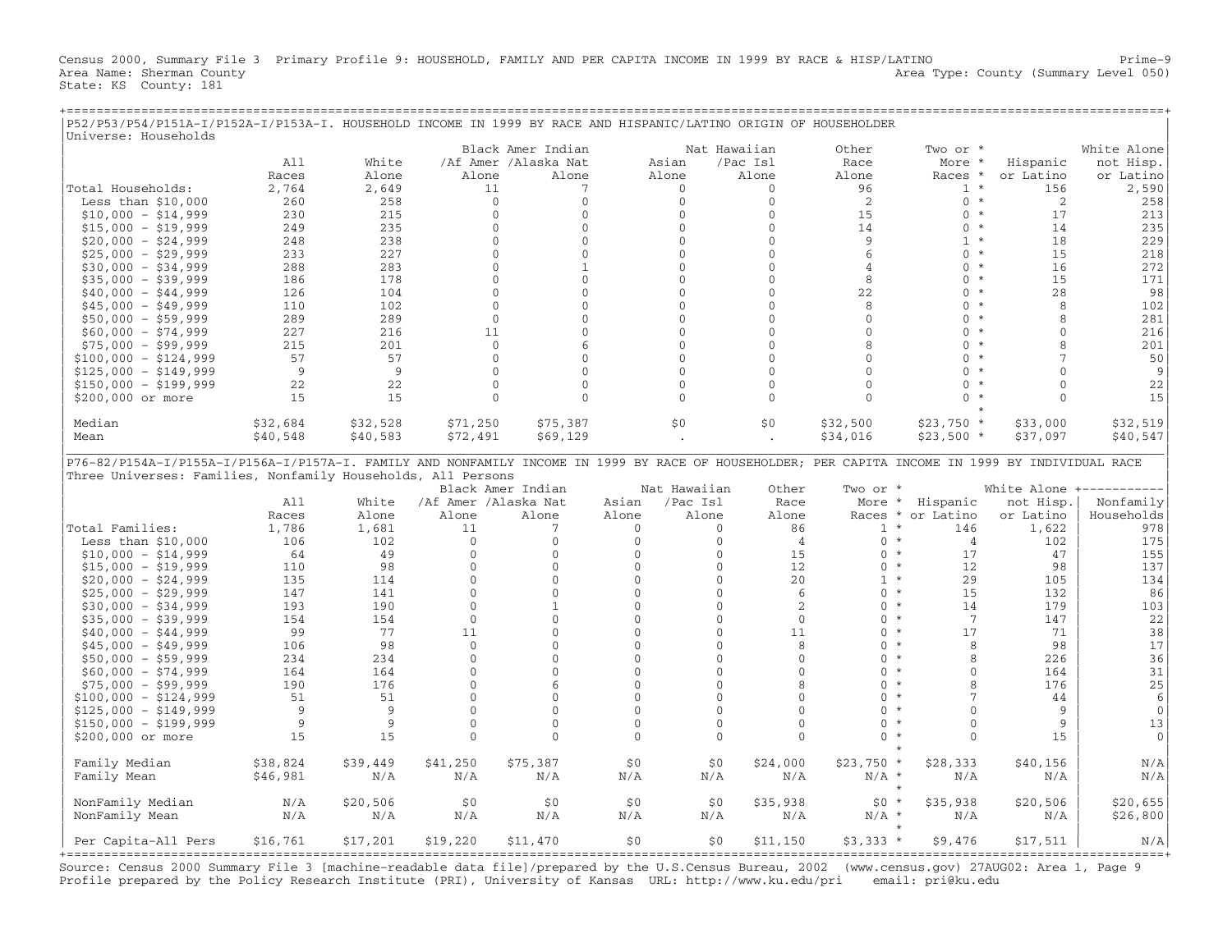Census 2000, Summary File 3 Primary Profile 9: HOUSEHOLD, FAMILY AND PER CAPITA INCOME IN 1999 BY RACE & HISP/LATINO Prime−9 Area Name: Sherman County Area Type: County (Summary Level 050) State: KS County: 181

+===================================================================================================================================================+

| P52/P53/P54/P151A-I/P152A-I/P153A-I. HOUSEHOLD INCOME IN 1999 BY RACE AND HISPANIC/LATINO ORIGIN OF HOUSEHOLDER |          |          |                      |                               |              |                              |                                |                                     |                            |              |                                      |
|-----------------------------------------------------------------------------------------------------------------|----------|----------|----------------------|-------------------------------|--------------|------------------------------|--------------------------------|-------------------------------------|----------------------------|--------------|--------------------------------------|
| Universe: Households                                                                                            |          |          |                      |                               |              |                              |                                |                                     |                            |              |                                      |
|                                                                                                                 | A11      | White    |                      | Black Amer Indian             |              |                              | Nat Hawaiian                   | Other                               | Two or *                   |              | White Alone                          |
|                                                                                                                 | Races    |          | Alone                | /Af Amer /Alaska Nat<br>Alone |              | Asian<br>Alone               | /Pac Isl<br>Alone              | Race<br>Alone                       | More *                     | Hispanic     | not Hisp.                            |
|                                                                                                                 |          | Alone    |                      | 7                             |              | $\Omega$                     | $\Omega$                       | 96                                  | Races *                    | or Latino    | or Latino                            |
| Total Households:                                                                                               | 2,764    | 2,649    | 11                   |                               |              |                              |                                |                                     | $1 *$<br>$0 *$             | 156          | 2,590                                |
| Less than $$10,000$                                                                                             | 260      | 258      | $\mathbf{0}$         | $\mathbf{0}$                  |              | $\mathbf{0}$<br>$\mathbf{0}$ | $\mathbf 0$<br>$\mathbf{0}$    | 2                                   | $0 *$                      | 2<br>17      | 258                                  |
| $$10,000 - $14,999$                                                                                             | 230      | 215      | $\mathbf{0}$         | $\mathbf{0}$                  |              |                              |                                | 15                                  | $\star$                    |              | 213                                  |
| $$15,000 - $19,999$                                                                                             | 249      | 235      | $\mathbf 0$          | $\mathbf 0$                   |              | $\Omega$                     | $\Omega$                       | 14                                  | $\Omega$                   | 14           | 235                                  |
| $$20,000 - $24,999$                                                                                             | 248      | 238      | $\mathbf{0}$         | $\overline{0}$                |              | $\Omega$                     | $\Omega$                       | 9                                   | $1 *$                      | 18           | 229                                  |
| $$25,000 - $29,999$                                                                                             | 233      | 227      | $\Omega$             | $\mathbf{0}$                  |              | $\Omega$                     | $\Omega$                       | 6                                   | $\Omega$<br>$^\star$       | 15           | 218                                  |
| $$30,000 - $34,999$                                                                                             | 288      | 283      | $\mathbf 0$          | $\mathbf{1}$                  |              | $\mathbf{0}$                 | $\mathbf{0}$                   | 4                                   | $\mathbf{0}$<br>$^\star$   | 16           | 272                                  |
| $$35,000 - $39,999$                                                                                             | 186      | 178      | $\mathbf{0}$         | $\overline{0}$                |              | $\Omega$                     | $\mathbf{0}$                   | 8                                   | $\Omega$<br>$^\star$       | 15           | 171                                  |
| $$40,000 - $44,999$                                                                                             | 126      | 104      | $\mathbf{0}$         | $\Omega$                      |              | $\Omega$                     | $\Omega$                       | 22                                  | $\Omega$<br>$^\star$       | 28           | 98                                   |
| $$45,000 - $49,999$                                                                                             | 110      | 102      | $\mathbf 0$          | $\mathbf 0$                   |              | $\mathbf{0}$                 | $\mathbf 0$                    | 8                                   | $\mathbf{0}$<br>$^\star$   | 8            | 102                                  |
| $$50,000 - $59,999$                                                                                             | 289      | 289      | $\mathbf{0}$         | $\mathbf{0}$                  |              | $\Omega$                     | $\mathbf{0}$                   | $\mathbf{0}$                        | $\Omega$<br>$\star$        | 8            | 281                                  |
| $$60,000 - $74,999$                                                                                             | 227      | 216      | 11                   | $\Omega$                      |              | $\Omega$                     | $\Omega$                       | $\Omega$                            | $\Omega$<br>$\star$        | $\Omega$     | 216                                  |
| $$75,000 - $99,999$                                                                                             | 215      | 201      | $\mathbf 0$          | 6                             |              | $\mathbf{0}$                 | $\mathbf{0}$                   | 8                                   | $^\star$<br>0              | $\mathsf{R}$ | 201                                  |
| $$100,000 - $124,999$                                                                                           | 57       | 57       | $\Omega$             | $\Omega$                      |              | $\Omega$                     | $\Omega$                       | $\Omega$                            | $\Omega$<br>$\star$        | 7            | 50                                   |
| $$125,000 - $149,999$                                                                                           | 9        | -9       | $\mathbf{0}$         | $\overline{0}$                |              | $\Omega$                     | $\Omega$                       | $\Omega$                            | $\Omega$<br>$\star$        | $\Omega$     | 9                                    |
| $$150,000 - $199,999$                                                                                           | 22       | 22       | $\mathbf 0$          | $\mathbf 0$                   |              | $\Omega$                     | $\Omega$                       | $\Omega$                            | $\Omega$<br>$\star$        | $\Omega$     | 22                                   |
| \$200,000 or more                                                                                               | 15       | 15       | $\mathbf{0}$         | $\Omega$                      |              | $\Omega$                     | $\mathbf{0}$                   | $\Omega$                            | $\Omega$                   | $\Omega$     | 15                                   |
|                                                                                                                 |          |          |                      |                               |              |                              |                                |                                     |                            |              |                                      |
| Median                                                                                                          | \$32,684 | \$32,528 | \$71,250             | \$75,387                      |              | \$0                          | \$0                            | \$32,500                            | $$23,750*$                 | \$33,000     | \$32,519                             |
| Mean                                                                                                            | \$40,548 | \$40,583 | \$72,491             | \$69,129                      |              |                              |                                | \$34,016                            | $$23,500*$                 | \$37,097     | \$40,547                             |
| Three Universes: Families, Nonfamily Households, All Persons                                                    |          |          |                      | Black Amer Indian             |              | Nat Hawaiian                 | Other                          | Two or *                            |                            |              | White Alone +----------              |
|                                                                                                                 | A11      | White    | /Af Amer /Alaska Nat |                               | Asian        | /Pac Isl                     | Race                           |                                     | More * Hispanic            | not Hisp.    | Nonfamily                            |
|                                                                                                                 | Races    | Alone    | Alone                | Alone                         | Alone        | Alone                        | Alone                          |                                     | Races * or Latino          | or Latino    | Households                           |
| Total Families:                                                                                                 | 1,786    | 1,681    | 11                   | $7\phantom{.0}$               | $\Omega$     |                              | 86<br>$\Omega$                 | $1 *$                               | 146                        | 1,622        | 978                                  |
| Less than $$10,000$                                                                                             | 106      | 102      | $\Omega$             | $\mathbf{0}$                  | $\mathbf{0}$ |                              | $\mathbf{0}$<br>$\overline{4}$ | $\mathbf{0}$<br>$\star$             | 4                          | 102          | 175                                  |
| $$10,000 - $14,999$                                                                                             | 64       | 49       | $\mathbf{0}$         | $\mathbf 0$                   | $\mathbf{0}$ |                              | 0<br>15                        | $\mathbf{0}$                        | $\star$<br>17              | 47           | 155                                  |
| $$15,000 - $19,999$                                                                                             | 110      | 98       | $\Omega$             | $\Omega$                      | $\Omega$     |                              | $\Omega$<br>12                 | $0 *$                               | 12                         | 98           | 137                                  |
| $$20,000 - $24,999$                                                                                             | 135      | 114      | $\mathbf{0}$         | $\mathbf{0}$                  | $\mathbf{0}$ |                              | $\mathbf{0}$<br>20             | $1 *$                               | 29                         | 105          | 134                                  |
| $$25,000 - $29,999$                                                                                             | 147      | 141      | $\mathbf{0}$         | $\mathbf{0}$                  | $\mathbf{0}$ |                              | $\mathbf{0}$<br>6              | $\Omega$<br>$\star$                 | 15                         | 132          | 86                                   |
| $$30,000 - $34,999$                                                                                             | 193      | 190      | $\Omega$             | $\mathbf{1}$                  | $\Omega$     |                              | 2<br>$\Omega$                  | $0 *$                               | 14                         | 179          | 103                                  |
| $$35,000 - $39,999$                                                                                             | 154      | 154      | $\mathbf 0$          | $\Omega$                      | $\Omega$     |                              | $\Omega$<br>$\mathbf 0$        | $\Omega$                            | $\star$<br>$7\phantom{.0}$ | 147          | 22                                   |
| $$40,000 - $44,999$                                                                                             | 99       | 77       | 11                   | $\mathbf{0}$                  | $\mathbf{0}$ |                              | 11<br>$\mathbf{0}$             | $\Omega$                            | $\star$<br>17              | 71           | 38                                   |
| $$45,000 - $49,999$                                                                                             | 106      | 98       | $\Omega$             | $\Omega$                      | $\Omega$     |                              | $\Omega$<br>8                  | $\Omega$                            | $\star$<br>8               | 98           | 17                                   |
| $$50,000 - $59,999$                                                                                             | 234      | 234      | $\mathbf{0}$         | $\mathbf{0}$                  | $\mathbf{0}$ |                              | $\mathbf{0}$<br>$\mathbf{0}$   | $\mathbf{0}$<br>$\star$             | 8                          | 226          | 36                                   |
| $$60,000 - $74,999$                                                                                             | 164      | 164      | $\mathbf{0}$         | $\mathbf{0}$                  | $\mathbf{0}$ |                              | $\mathbf{0}$<br>$\mathbf{0}$   | $\Omega$<br>$\star$                 | $\Omega$                   | 164          | 31                                   |
| $$75,000 - $99,999$                                                                                             | 190      | 176      | $\Omega$             | 6                             | $\Omega$     |                              | 8<br>$\Omega$                  | $\Omega$                            | $\star$<br>$\mathsf{R}$    | 176          | 25                                   |
| $$100,000 - $124,999$                                                                                           | 51       | 51       | $\mathbf 0$          | 0                             | $\mathbf{0}$ |                              | $\mathbf{0}$<br>$\mathbf{0}$   | $\mathbf{0}$<br>$\star$             | $\overline{7}$             | 44           | 6                                    |
| $$125,000 - $149,999$                                                                                           | 9        | 9        | $\mathbf{0}$         | $\mathbf{0}$                  | $\mathbf{0}$ |                              | $\mathbf{0}$<br>$\Omega$       | $\Omega$<br>$\star$                 | $\Omega$                   | 9            | $\overline{0}$                       |
| $$150,000 - $199,999$                                                                                           | 9        | 9        | $\Omega$             | $\Omega$                      | $\Omega$     |                              | $\Omega$<br>$\Omega$           | $\Omega$<br>$\star$                 | $\Omega$                   | 9            | 13                                   |
| \$200,000 or more                                                                                               | 15       | 15       | $\mathbf{0}$         | $\mathbf{0}$                  | $\Omega$     |                              | $\mathbf{0}$<br>$\mathbf{0}$   | $\mathbf{0}$<br>$\star$             | $\Omega$                   | 15           | $\mathbf 0$                          |
|                                                                                                                 |          |          |                      |                               |              |                              |                                | $\star$                             |                            |              |                                      |
| Family Median                                                                                                   | \$38,824 | \$39,449 | \$41,250             | \$75,387                      | \$0          |                              | \$0<br>\$24,000                | $$23,750*$                          | \$28,333                   | \$40,156     | N/A                                  |
| Family Mean                                                                                                     | \$46,981 | N/A      | N/A                  | N/A                           | N/A          | N/A                          | N/A                            | $N/A$ *                             | N/A<br>$\star$             | N/A          | N/A                                  |
| NonFamily Median                                                                                                | N/A      | \$20,506 | \$0                  | \$0                           | \$0          |                              | \$0<br>\$35,938                | $$0*$                               | \$35,938                   | \$20,506     | \$20,655                             |
| NonFamily Mean                                                                                                  | N/A      | N/A      | N/A                  | N/A                           | N/A          | N/A                          | N/A                            | $N/A$ *                             | N/A                        | N/A          | \$26,800                             |
|                                                                                                                 |          |          |                      |                               |              |                              |                                |                                     |                            |              |                                      |
| Per Capita-All Pers                                                                                             | \$16,761 | \$17,201 | \$19,220             | \$11,470                      | \$0          |                              | \$0<br>\$11,150                | $$3,333*$<br>====================== | \$9,476                    | \$17,511     | N/A<br>============================= |

Source: Census 2000 Summary File 3 [machine−readable data file]/prepared by the U.S.Census Bureau, 2002 (www.census.gov) 27AUG02: Area 1, Page 9 Profile prepared by the Policy Research Institute (PRI), University of Kansas URL: http://www.ku.edu/pri email: pri@ku.edu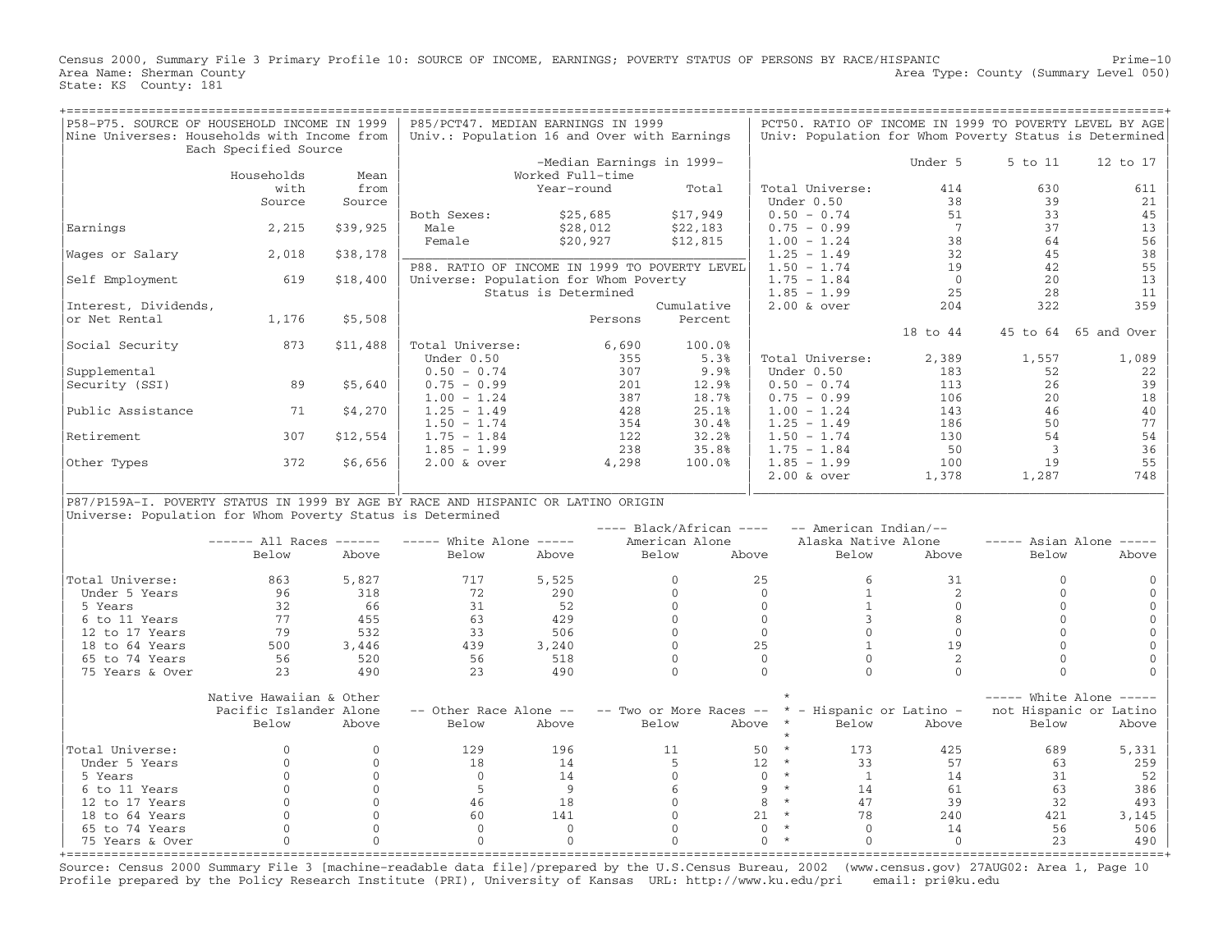Census 2000, Summary File 3 Primary Profile 10: SOURCE OF INCOME, EARNINGS; POVERTY STATUS OF PERSONS BY RACE/HISPANIC Prime−10 Area Type: County (Summary Level 050) Area Name: Sherman County<br>State: KS County: 181

| P58-P75. SOURCE OF HOUSEHOLD INCOME IN 1999                                      |                         |              | P85/PCT47. MEDIAN EARNINGS IN 1999            |                      |         |                           |                            |              |                          |                | PCT50. RATIO OF INCOME IN 1999 TO POVERTY LEVEL BY AGE |
|----------------------------------------------------------------------------------|-------------------------|--------------|-----------------------------------------------|----------------------|---------|---------------------------|----------------------------|--------------|--------------------------|----------------|--------------------------------------------------------|
| Nine Universes: Households with Income from                                      |                         |              | Univ.: Population 16 and Over with Earnings   |                      |         |                           |                            |              |                          |                | Univ: Population for Whom Poverty Status is Determined |
|                                                                                  | Each Specified Source   |              |                                               |                      |         |                           |                            |              |                          |                |                                                        |
|                                                                                  |                         |              |                                               |                      |         | -Median Earnings in 1999- |                            |              | Under 5                  | 5 to 11        | 12 to 17                                               |
|                                                                                  | Households              | Mean         |                                               | Worked Full-time     |         |                           |                            |              |                          |                |                                                        |
|                                                                                  | with                    | from         |                                               | Year-round           |         | Total                     | Total Universe:            |              | 414                      | 630            | 611                                                    |
|                                                                                  | Source                  | Source       |                                               |                      |         |                           | Under 0.50                 |              | 38                       | 39             | 21                                                     |
|                                                                                  |                         |              | Both Sexes:                                   | \$25,685             |         | \$17,949                  | $0.50 - 0.74$              |              | 51                       | 33             | 45                                                     |
| Earnings                                                                         | 2,215                   | \$39,925     | Male                                          | \$28,012             |         | \$22,183                  | $0.75 - 0.99$              |              | $7\overline{ }$          | 37             | 13                                                     |
|                                                                                  |                         |              | Female                                        | \$20,927             |         | \$12,815                  | $1.00 - 1.24$              |              | 38                       | 64             | 56                                                     |
| Wages or Salary                                                                  | 2,018                   | \$38,178     |                                               |                      |         |                           | $1.25 - 1.49$              |              | 32                       | 45             | 38                                                     |
|                                                                                  |                         |              | P88. RATIO OF INCOME IN 1999 TO POVERTY LEVEL |                      |         |                           | $1.50 - 1.74$              |              | 19                       | 42             | 55                                                     |
| Self Employment                                                                  | 619                     | \$18,400     | Universe: Population for Whom Poverty         |                      |         |                           | $1.75 - 1.84$              |              | $\Omega$                 | 2.0            | 13                                                     |
|                                                                                  |                         |              |                                               | Status is Determined |         |                           | $1.85 - 1.99$              |              | 25                       | 28             | 11                                                     |
| Interest, Dividends,                                                             |                         |              |                                               |                      |         | Cumulative                | $2.00$ & over              |              | 204                      | 322            | 359                                                    |
| or Net Rental                                                                    | 1,176                   | \$5,508      |                                               |                      | Persons | Percent                   |                            |              |                          |                |                                                        |
|                                                                                  |                         |              |                                               |                      |         |                           |                            |              | 18 to 44                 |                | 45 to 64 65 and Over                                   |
| Social Security                                                                  | 873                     | \$11,488     | Total Universe:                               |                      | 6,690   | 100.0%                    |                            |              |                          |                |                                                        |
|                                                                                  |                         |              | Under 0.50                                    |                      | 355     | 5.3%                      | Total Universe:            |              | 2,389                    | 1,557          | 1,089                                                  |
|                                                                                  |                         |              |                                               |                      | 307     | 9.9%                      | Under 0.50                 |              | 183                      | 52             |                                                        |
| Supplemental                                                                     |                         |              | $0.50 - 0.74$                                 |                      |         |                           |                            |              |                          |                | 22                                                     |
| Security (SSI)                                                                   | 89                      | \$5,640      | $0.75 - 0.99$                                 |                      | 201     | 12.9%                     | $0.50 - 0.74$              |              | 113                      | 26             | 39                                                     |
|                                                                                  |                         |              | $1.00 - 1.24$                                 |                      | 387     | 18.7%                     | $0.75 - 0.99$              |              | 106                      | 20             | 18                                                     |
| Public Assistance                                                                | 71                      | \$4,270      | $1.25 - 1.49$                                 |                      | 428     | 25.1%                     | $1.00 - 1.24$              |              | 143                      | 46             | 40                                                     |
|                                                                                  |                         |              | $1.50 - 1.74$                                 |                      | 354     | 30.4%                     | $1.25 - 1.49$              |              | 186                      | 50             | 77                                                     |
| Retirement                                                                       | 307                     | \$12,554     | $1.75 - 1.84$                                 |                      | 122     | 32.2%                     | $1.50 - 1.74$              |              | 130                      | 54             | 54                                                     |
|                                                                                  |                         |              | $1.85 - 1.99$                                 |                      | 238     | 35.8%                     | $1.75 - 1.84$              |              | 50                       | $\overline{3}$ | 36                                                     |
| Other Types                                                                      | 372                     | \$6,656      | $2.00$ & over                                 |                      | 4,298   | 100.0%                    | $1.85 - 1.99$              |              | 100                      | 19             | 55                                                     |
|                                                                                  |                         |              |                                               |                      |         |                           | $2.00$ & over              |              | 1,378                    | 1,287          | 748                                                    |
|                                                                                  |                         |              |                                               |                      |         |                           |                            |              |                          |                |                                                        |
| P87/P159A-I. POVERTY STATUS IN 1999 BY AGE BY RACE AND HISPANIC OR LATINO ORIGIN |                         |              |                                               |                      |         |                           |                            |              |                          |                |                                                        |
| Universe: Population for Whom Poverty Status is Determined                       |                         |              |                                               |                      |         |                           |                            |              |                          |                |                                                        |
|                                                                                  |                         |              |                                               |                      |         | $---$ Black/African $---$ |                            |              | -- American Indian/--    |                |                                                        |
|                                                                                  | $----$ All Races $----$ |              | $---$ White Alone $---$                       |                      |         | American Alone            |                            |              | Alaska Native Alone      |                | $--- A {\bf s}$ Asian Alone $---$                      |
|                                                                                  | Below                   | Above        | Below                                         | Above                |         | Below                     | Above                      | Below        | Above                    | Below          | Above                                                  |
|                                                                                  |                         |              |                                               |                      |         |                           |                            |              |                          |                |                                                        |
| Total Universe:                                                                  | 863                     | 5,827        | 717                                           | 5,525                |         | $\mathbf{0}$              | 25                         | 6            | 31                       | $\Omega$       |                                                        |
| Under 5 Years                                                                    | 96                      | 318          | 72                                            | 290                  |         | $\Omega$                  | $\Omega$                   | $\mathbf{1}$ | 2                        | $\cap$         | $\Omega$                                               |
| 5 Years                                                                          | 32                      | 66           | 31                                            | 52                   |         | $\Omega$                  | $\Omega$                   | $\mathbf{1}$ | $\Omega$                 | $\Omega$       | $\mathbf{0}$                                           |
| 6 to 11 Years                                                                    | 77                      | 455          | 63                                            | 429                  |         | $\Omega$                  | $\Omega$                   | 3            | 8                        | $\Omega$       | $\mathbf{0}$                                           |
| 12 to 17 Years                                                                   | 79                      | 532          | 33                                            | 506                  |         | $\Omega$                  | $\overline{0}$             | $\Omega$     | $\Omega$                 | $\bigcap$      | $\Omega$                                               |
| 18 to 64 Years                                                                   | 500                     | 3,446        | 439                                           | 3,240                |         | $\mathbf{0}$              | 25                         | $\mathbf{1}$ | 19                       | $\Omega$       | $\Omega$                                               |
| 65 to 74 Years                                                                   | 56                      | 520          | 56                                            | 518                  |         | $\Omega$                  | $\Omega$                   | $\Omega$     | $\overline{2}$           | $\Omega$       | $\Omega$                                               |
| 75 Years & Over                                                                  | 23                      | 490          | 23                                            | 490                  |         | $\Omega$                  | $\Omega$                   | $\bigcap$    | $\Omega$                 | $\Omega$       | $\Omega$                                               |
|                                                                                  |                         |              |                                               |                      |         |                           |                            |              |                          |                |                                                        |
|                                                                                  |                         |              |                                               |                      |         |                           |                            |              |                          |                |                                                        |
|                                                                                  | Native Hawaiian & Other |              |                                               |                      |         |                           |                            |              |                          |                | $---$ White Alone $---$                                |
|                                                                                  | Pacific Islander Alone  |              | -- Other Race Alone --                        |                      |         | -- Two or More Races --   |                            |              | * - Hispanic or Latino - |                | not Hispanic or Latino                                 |
|                                                                                  | Below                   | Above        | Below                                         | Above                |         | Below                     | Above<br>$\star$           | Below        | Above                    | Below          | Above                                                  |
|                                                                                  |                         |              |                                               |                      |         |                           |                            |              |                          |                |                                                        |
| Total Universe:                                                                  | $\Omega$                | $\Omega$     | 129                                           | 196                  |         | 11                        | $\star$<br>50              | 173          | 425                      | 689            | 5,331                                                  |
| Under 5 Years                                                                    | $\Omega$                | $\Omega$     | 18                                            | 14                   |         | 5                         | 12 <sup>°</sup><br>$\star$ | 33           | 57                       | 63             | 259                                                    |
| 5 Years                                                                          | $\Omega$                | $\Omega$     | $\Omega$                                      | 14                   |         | $\Omega$                  | $\star$<br>$\Omega$        | 1            | 14                       | 31             | 52                                                     |
| 6 to 11 Years                                                                    | $\mathbf{0}$            | $\mathbf{0}$ | 5                                             | 9                    |         | 6                         | $\star$<br>9               | 14           | 61                       | 63             | 386                                                    |
| 12 to 17 Years                                                                   | $\Omega$                | $\Omega$     | 46                                            | 18                   |         | $\Omega$                  | 8<br>$\star$               | 47           | 39                       | 32             | 493                                                    |
| 18 to 64 Years                                                                   | $\mathbf{0}$            | $\mathbf{0}$ | 60                                            | 141                  |         | $\mathbf{0}$              | $\star$<br>21              | 78           | 240                      | 421            | 3,145                                                  |
| 65 to 74 Years                                                                   | $\Omega$                | $\Omega$     | $\Omega$                                      | $\bigcap$            |         | $\Omega$                  | $\Omega$<br>$\star$        | $\bigcap$    | 14                       | 56             | 506                                                    |
|                                                                                  |                         |              |                                               |                      |         |                           |                            |              |                          |                |                                                        |
| 75 Years & Over                                                                  | $\mathbf{0}$            | $\Omega$     | $\Omega$                                      | $\Omega$             |         | $\Omega$                  | $\star$<br>$\Omega$        | $\Omega$     | $\Omega$                 | 23             | 490                                                    |

Source: Census 2000 Summary File 3 [machine−readable data file]/prepared by the U.S.Census Bureau, 2002 (www.census.gov) 27AUG02: Area 1, Page 10 Profile prepared by the Policy Research Institute (PRI), University of Kansas URL: http://www.ku.edu/pri email: pri@ku.edu